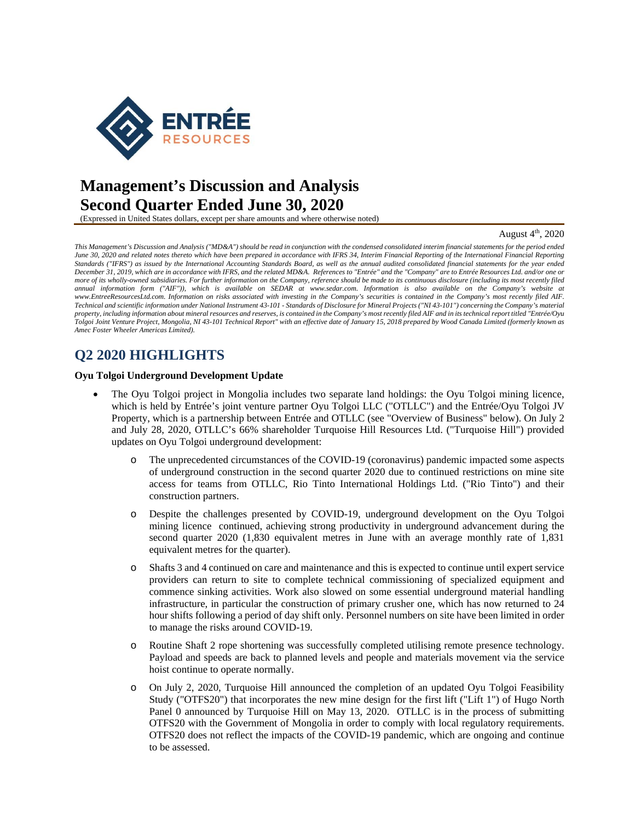

# **Management's Discussion and Analysis Second Quarter Ended June 30, 2020**

(Expressed in United States dollars, except per share amounts and where otherwise noted)

### August 4th, 2020

*This Management's Discussion and Analysis ("MD&A") should be read in conjunction with the condensed consolidated interim financial statements for the period ended June 30, 2020 and related notes thereto which have been prepared in accordance with IFRS 34, Interim Financial Reporting of the International Financial Reporting Standards ("IFRS") as issued by the International Accounting Standards Board, as well as the annual audited consolidated financial statements for the year ended December 31, 2019, which are in accordance with IFRS, and the related MD&A. References to "Entrée" and the "Company" are to Entrée Resources Ltd. and/or one or more of its wholly-owned subsidiaries. For further information on the Company, reference should be made to its continuous disclosure (including its most recently filed annual information form ("AIF")), which is available on SEDAR at www.sedar.com. Information is also available on the Company's website at www.EntreeResourcesLtd.com. Information on risks associated with investing in the Company's securities is contained in the Company's most recently filed AIF. Technical and scientific information under National Instrument 43-101 - Standards of Disclosure for Mineral Projects ("NI 43-101") concerning the Company's material property, including information about mineral resources and reserves, is contained in the Company's most recently filed AIF and in its technical report titled "Entrée/Oyu Tolgoi Joint Venture Project, Mongolia, NI 43-101 Technical Report" with an effective date of January 15, 2018 prepared by Wood Canada Limited (formerly known as Amec Foster Wheeler Americas Limited).* 

## **Q2 2020 HIGHLIGHTS**

#### **Oyu Tolgoi Underground Development Update**

- The Oyu Tolgoi project in Mongolia includes two separate land holdings: the Oyu Tolgoi mining licence, which is held by Entrée's joint venture partner Oyu Tolgoi LLC ("OTLLC") and the Entrée/Oyu Tolgoi JV Property, which is a partnership between Entrée and OTLLC (see "Overview of Business" below). On July 2 and July 28, 2020, OTLLC's 66% shareholder Turquoise Hill Resources Ltd. ("Turquoise Hill") provided updates on Oyu Tolgoi underground development:
	- o The unprecedented circumstances of the COVID-19 (coronavirus) pandemic impacted some aspects of underground construction in the second quarter 2020 due to continued restrictions on mine site access for teams from OTLLC, Rio Tinto International Holdings Ltd. ("Rio Tinto") and their construction partners.
	- o Despite the challenges presented by COVID-19, underground development on the Oyu Tolgoi mining licence continued, achieving strong productivity in underground advancement during the second quarter 2020 (1,830 equivalent metres in June with an average monthly rate of 1,831 equivalent metres for the quarter).
	- o Shafts 3 and 4 continued on care and maintenance and this is expected to continue until expert service providers can return to site to complete technical commissioning of specialized equipment and commence sinking activities. Work also slowed on some essential underground material handling infrastructure, in particular the construction of primary crusher one, which has now returned to 24 hour shifts following a period of day shift only. Personnel numbers on site have been limited in order to manage the risks around COVID-19.
	- o Routine Shaft 2 rope shortening was successfully completed utilising remote presence technology. Payload and speeds are back to planned levels and people and materials movement via the service hoist continue to operate normally.
	- o On July 2, 2020, Turquoise Hill announced the completion of an updated Oyu Tolgoi Feasibility Study ("OTFS20") that incorporates the new mine design for the first lift ("Lift 1") of Hugo North Panel 0 announced by Turquoise Hill on May 13, 2020. OTLLC is in the process of submitting OTFS20 with the Government of Mongolia in order to comply with local regulatory requirements. OTFS20 does not reflect the impacts of the COVID-19 pandemic, which are ongoing and continue to be assessed.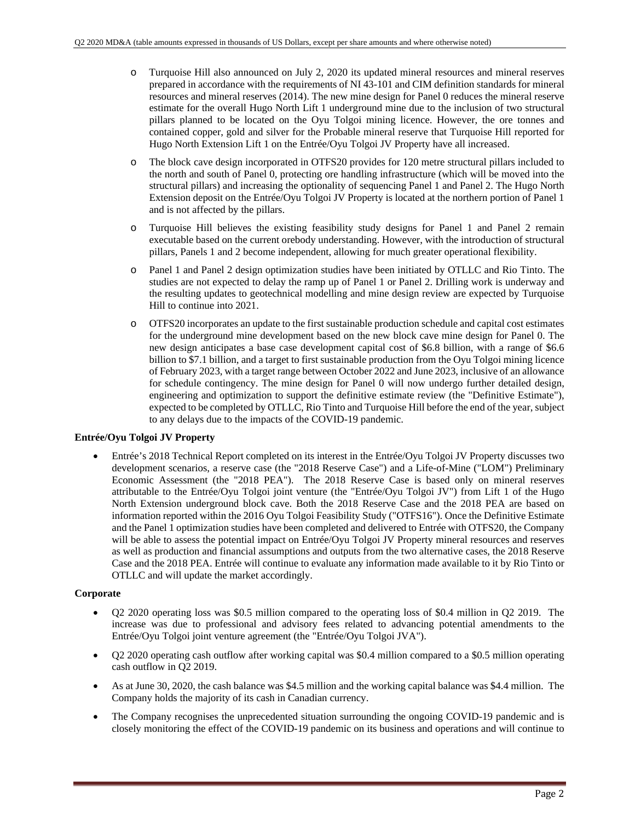- o Turquoise Hill also announced on July 2, 2020 its updated mineral resources and mineral reserves prepared in accordance with the requirements of NI 43-101 and CIM definition standards for mineral resources and mineral reserves (2014). The new mine design for Panel 0 reduces the mineral reserve estimate for the overall Hugo North Lift 1 underground mine due to the inclusion of two structural pillars planned to be located on the Oyu Tolgoi mining licence. However, the ore tonnes and contained copper, gold and silver for the Probable mineral reserve that Turquoise Hill reported for Hugo North Extension Lift 1 on the Entrée/Oyu Tolgoi JV Property have all increased.
- o The block cave design incorporated in OTFS20 provides for 120 metre structural pillars included to the north and south of Panel 0, protecting ore handling infrastructure (which will be moved into the structural pillars) and increasing the optionality of sequencing Panel 1 and Panel 2. The Hugo North Extension deposit on the Entrée/Oyu Tolgoi JV Property is located at the northern portion of Panel 1 and is not affected by the pillars.
- o Turquoise Hill believes the existing feasibility study designs for Panel 1 and Panel 2 remain executable based on the current orebody understanding. However, with the introduction of structural pillars, Panels 1 and 2 become independent, allowing for much greater operational flexibility.
- Panel 1 and Panel 2 design optimization studies have been initiated by OTLLC and Rio Tinto. The studies are not expected to delay the ramp up of Panel 1 or Panel 2. Drilling work is underway and the resulting updates to geotechnical modelling and mine design review are expected by Turquoise Hill to continue into 2021.
- o OTFS20 incorporates an update to the first sustainable production schedule and capital cost estimates for the underground mine development based on the new block cave mine design for Panel 0. The new design anticipates a base case development capital cost of \$6.8 billion, with a range of \$6.6 billion to \$7.1 billion, and a target to first sustainable production from the Oyu Tolgoi mining licence of February 2023, with a target range between October 2022 and June 2023, inclusive of an allowance for schedule contingency. The mine design for Panel 0 will now undergo further detailed design, engineering and optimization to support the definitive estimate review (the "Definitive Estimate"), expected to be completed by OTLLC, Rio Tinto and Turquoise Hill before the end of the year, subject to any delays due to the impacts of the COVID-19 pandemic.

### **Entrée/Oyu Tolgoi JV Property**

 Entrée's 2018 Technical Report completed on its interest in the Entrée/Oyu Tolgoi JV Property discusses two development scenarios, a reserve case (the "2018 Reserve Case") and a Life-of-Mine ("LOM") Preliminary Economic Assessment (the "2018 PEA"). The 2018 Reserve Case is based only on mineral reserves attributable to the Entrée/Oyu Tolgoi joint venture (the "Entrée/Oyu Tolgoi JV") from Lift 1 of the Hugo North Extension underground block cave. Both the 2018 Reserve Case and the 2018 PEA are based on information reported within the 2016 Oyu Tolgoi Feasibility Study ("OTFS16"). Once the Definitive Estimate and the Panel 1 optimization studies have been completed and delivered to Entrée with OTFS20, the Company will be able to assess the potential impact on Entrée/Oyu Tolgoi JV Property mineral resources and reserves as well as production and financial assumptions and outputs from the two alternative cases, the 2018 Reserve Case and the 2018 PEA. Entrée will continue to evaluate any information made available to it by Rio Tinto or OTLLC and will update the market accordingly.

### **Corporate**

- Q2 2020 operating loss was \$0.5 million compared to the operating loss of \$0.4 million in Q2 2019. The increase was due to professional and advisory fees related to advancing potential amendments to the Entrée/Oyu Tolgoi joint venture agreement (the "Entrée/Oyu Tolgoi JVA").
- Q2 2020 operating cash outflow after working capital was \$0.4 million compared to a \$0.5 million operating cash outflow in Q2 2019.
- As at June 30, 2020, the cash balance was \$4.5 million and the working capital balance was \$4.4 million. The Company holds the majority of its cash in Canadian currency.
- The Company recognises the unprecedented situation surrounding the ongoing COVID-19 pandemic and is closely monitoring the effect of the COVID-19 pandemic on its business and operations and will continue to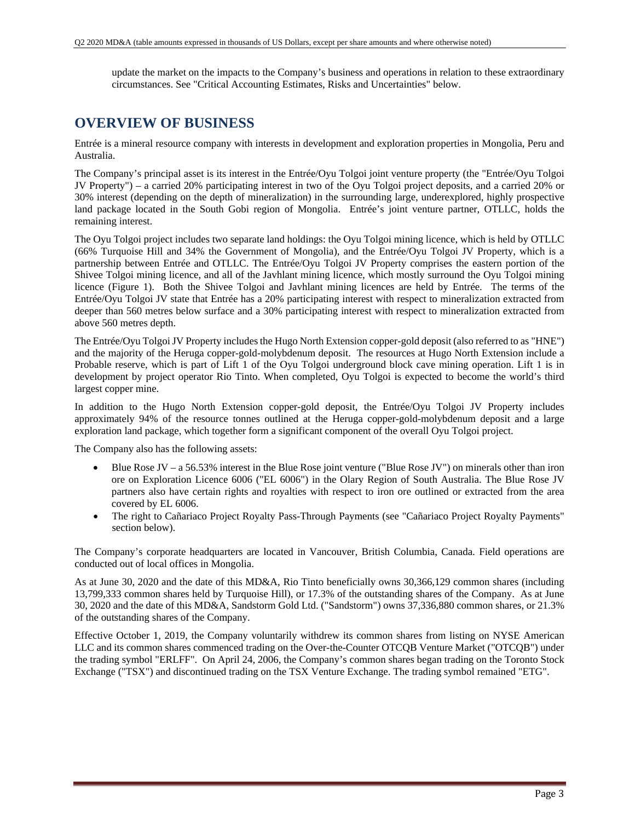update the market on the impacts to the Company's business and operations in relation to these extraordinary circumstances. See "Critical Accounting Estimates, Risks and Uncertainties" below.

### **OVERVIEW OF BUSINESS**

Entrée is a mineral resource company with interests in development and exploration properties in Mongolia, Peru and Australia.

The Company's principal asset is its interest in the Entrée/Oyu Tolgoi joint venture property (the "Entrée/Oyu Tolgoi JV Property") – a carried 20% participating interest in two of the Oyu Tolgoi project deposits, and a carried 20% or 30% interest (depending on the depth of mineralization) in the surrounding large, underexplored, highly prospective land package located in the South Gobi region of Mongolia. Entrée's joint venture partner, OTLLC, holds the remaining interest.

The Oyu Tolgoi project includes two separate land holdings: the Oyu Tolgoi mining licence, which is held by OTLLC (66% Turquoise Hill and 34% the Government of Mongolia), and the Entrée/Oyu Tolgoi JV Property, which is a partnership between Entrée and OTLLC. The Entrée/Oyu Tolgoi JV Property comprises the eastern portion of the Shivee Tolgoi mining licence, and all of the Javhlant mining licence, which mostly surround the Oyu Tolgoi mining licence (Figure 1). Both the Shivee Tolgoi and Javhlant mining licences are held by Entrée. The terms of the Entrée/Oyu Tolgoi JV state that Entrée has a 20% participating interest with respect to mineralization extracted from deeper than 560 metres below surface and a 30% participating interest with respect to mineralization extracted from above 560 metres depth.

The Entrée/Oyu Tolgoi JV Property includes the Hugo North Extension copper-gold deposit (also referred to as "HNE") and the majority of the Heruga copper-gold-molybdenum deposit. The resources at Hugo North Extension include a Probable reserve, which is part of Lift 1 of the Oyu Tolgoi underground block cave mining operation. Lift 1 is in development by project operator Rio Tinto. When completed, Oyu Tolgoi is expected to become the world's third largest copper mine.

In addition to the Hugo North Extension copper-gold deposit, the Entrée/Oyu Tolgoi JV Property includes approximately 94% of the resource tonnes outlined at the Heruga copper-gold-molybdenum deposit and a large exploration land package, which together form a significant component of the overall Oyu Tolgoi project.

The Company also has the following assets:

- Blue Rose JV a 56.53% interest in the Blue Rose joint venture ("Blue Rose JV") on minerals other than iron ore on Exploration Licence 6006 ("EL 6006") in the Olary Region of South Australia. The Blue Rose JV partners also have certain rights and royalties with respect to iron ore outlined or extracted from the area covered by EL 6006.
- The right to Cañariaco Project Royalty Pass-Through Payments (see "Cañariaco Project Royalty Payments" section below).

The Company's corporate headquarters are located in Vancouver, British Columbia, Canada. Field operations are conducted out of local offices in Mongolia.

As at June 30, 2020 and the date of this MD&A, Rio Tinto beneficially owns 30,366,129 common shares (including 13,799,333 common shares held by Turquoise Hill), or 17.3% of the outstanding shares of the Company. As at June 30, 2020 and the date of this MD&A, Sandstorm Gold Ltd. ("Sandstorm") owns 37,336,880 common shares, or 21.3% of the outstanding shares of the Company.

Effective October 1, 2019, the Company voluntarily withdrew its common shares from listing on NYSE American LLC and its common shares commenced trading on the Over-the-Counter OTCQB Venture Market ("OTCQB") under the trading symbol "ERLFF". On April 24, 2006, the Company's common shares began trading on the Toronto Stock Exchange ("TSX") and discontinued trading on the TSX Venture Exchange. The trading symbol remained "ETG".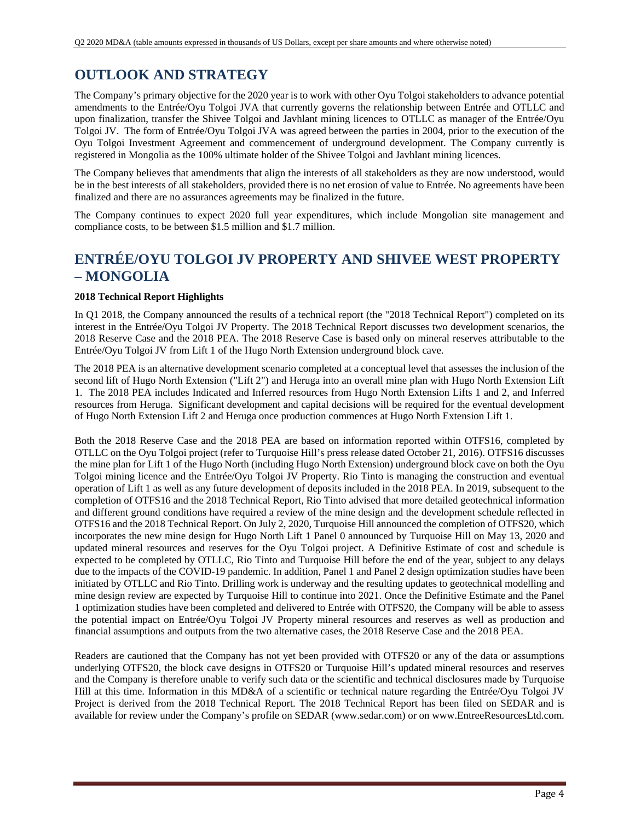## **OUTLOOK AND STRATEGY**

The Company's primary objective for the 2020 year is to work with other Oyu Tolgoi stakeholders to advance potential amendments to the Entrée/Oyu Tolgoi JVA that currently governs the relationship between Entrée and OTLLC and upon finalization, transfer the Shivee Tolgoi and Javhlant mining licences to OTLLC as manager of the Entrée/Oyu Tolgoi JV. The form of Entrée/Oyu Tolgoi JVA was agreed between the parties in 2004, prior to the execution of the Oyu Tolgoi Investment Agreement and commencement of underground development. The Company currently is registered in Mongolia as the 100% ultimate holder of the Shivee Tolgoi and Javhlant mining licences.

The Company believes that amendments that align the interests of all stakeholders as they are now understood, would be in the best interests of all stakeholders, provided there is no net erosion of value to Entrée. No agreements have been finalized and there are no assurances agreements may be finalized in the future.

The Company continues to expect 2020 full year expenditures, which include Mongolian site management and compliance costs, to be between \$1.5 million and \$1.7 million.

## **ENTRÉE/OYU TOLGOI JV PROPERTY AND SHIVEE WEST PROPERTY – MONGOLIA**

### **2018 Technical Report Highlights**

In Q1 2018, the Company announced the results of a technical report (the "2018 Technical Report") completed on its interest in the Entrée/Oyu Tolgoi JV Property. The 2018 Technical Report discusses two development scenarios, the 2018 Reserve Case and the 2018 PEA. The 2018 Reserve Case is based only on mineral reserves attributable to the Entrée/Oyu Tolgoi JV from Lift 1 of the Hugo North Extension underground block cave.

The 2018 PEA is an alternative development scenario completed at a conceptual level that assesses the inclusion of the second lift of Hugo North Extension ("Lift 2") and Heruga into an overall mine plan with Hugo North Extension Lift 1. The 2018 PEA includes Indicated and Inferred resources from Hugo North Extension Lifts 1 and 2, and Inferred resources from Heruga. Significant development and capital decisions will be required for the eventual development of Hugo North Extension Lift 2 and Heruga once production commences at Hugo North Extension Lift 1.

Both the 2018 Reserve Case and the 2018 PEA are based on information reported within OTFS16, completed by OTLLC on the Oyu Tolgoi project (refer to Turquoise Hill's press release dated October 21, 2016). OTFS16 discusses the mine plan for Lift 1 of the Hugo North (including Hugo North Extension) underground block cave on both the Oyu Tolgoi mining licence and the Entrée/Oyu Tolgoi JV Property. Rio Tinto is managing the construction and eventual operation of Lift 1 as well as any future development of deposits included in the 2018 PEA. In 2019, subsequent to the completion of OTFS16 and the 2018 Technical Report, Rio Tinto advised that more detailed geotechnical information and different ground conditions have required a review of the mine design and the development schedule reflected in OTFS16 and the 2018 Technical Report. On July 2, 2020, Turquoise Hill announced the completion of OTFS20, which incorporates the new mine design for Hugo North Lift 1 Panel 0 announced by Turquoise Hill on May 13, 2020 and updated mineral resources and reserves for the Oyu Tolgoi project. A Definitive Estimate of cost and schedule is expected to be completed by OTLLC, Rio Tinto and Turquoise Hill before the end of the year, subject to any delays due to the impacts of the COVID-19 pandemic. In addition, Panel 1 and Panel 2 design optimization studies have been initiated by OTLLC and Rio Tinto. Drilling work is underway and the resulting updates to geotechnical modelling and mine design review are expected by Turquoise Hill to continue into 2021. Once the Definitive Estimate and the Panel 1 optimization studies have been completed and delivered to Entrée with OTFS20, the Company will be able to assess the potential impact on Entrée/Oyu Tolgoi JV Property mineral resources and reserves as well as production and financial assumptions and outputs from the two alternative cases, the 2018 Reserve Case and the 2018 PEA.

Readers are cautioned that the Company has not yet been provided with OTFS20 or any of the data or assumptions underlying OTFS20, the block cave designs in OTFS20 or Turquoise Hill's updated mineral resources and reserves and the Company is therefore unable to verify such data or the scientific and technical disclosures made by Turquoise Hill at this time. Information in this MD&A of a scientific or technical nature regarding the Entrée/Oyu Tolgoi JV Project is derived from the 2018 Technical Report. The 2018 Technical Report has been filed on SEDAR and is available for review under the Company's profile on SEDAR (www.sedar.com) or on www.EntreeResourcesLtd.com.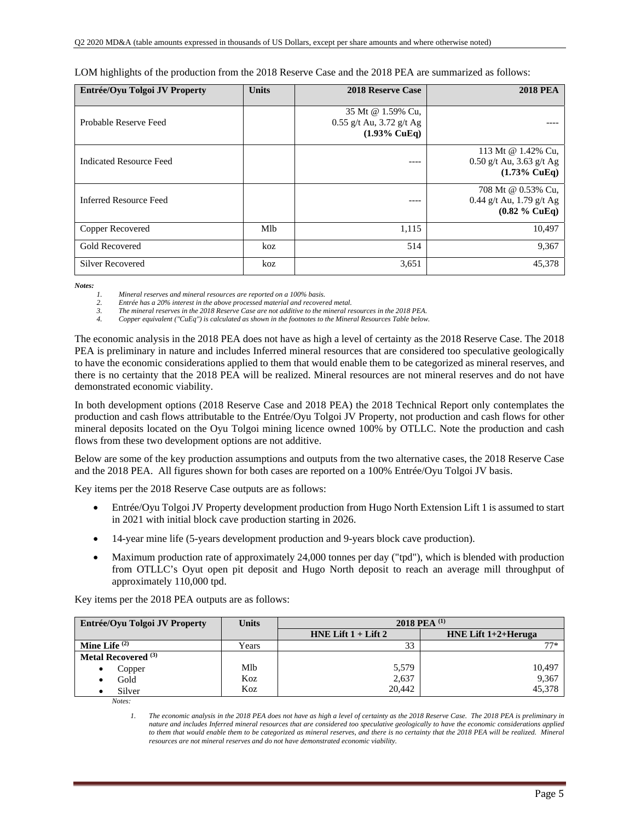| Entrée/Oyu Tolgoi JV Property  | <b>Units</b> | <b>2018 Reserve Case</b>                                                 | <b>2018 PEA</b>                                                             |
|--------------------------------|--------------|--------------------------------------------------------------------------|-----------------------------------------------------------------------------|
| Probable Reserve Feed          |              | 35 Mt @ 1.59% Cu,<br>0.55 g/t Au, 3.72 g/t Ag<br>$(1.93\% \text{ CuEq})$ |                                                                             |
| <b>Indicated Resource Feed</b> |              | ----                                                                     | 113 Mt @ 1.42% Cu,<br>$0.50$ g/t Au, 3.63 g/t Ag<br>$(1.73\% \text{ CuEq})$ |
| <b>Inferred Resource Feed</b>  |              | ----                                                                     | 708 Mt @ 0.53% Cu,<br>0.44 g/t Au, 1.79 g/t Ag<br>$(0.82 \%$ CuEq)          |
| Copper Recovered               | Mlb          | 1,115                                                                    | 10,497                                                                      |
| <b>Gold Recovered</b>          | koz          | 514                                                                      | 9,367                                                                       |
| <b>Silver Recovered</b>        | koz          | 3,651                                                                    | 45,378                                                                      |

LOM highlights of the production from the 2018 Reserve Case and the 2018 PEA are summarized as follows:

*Notes:* 

*1. Mineral reserves and mineral resources are reported on a 100% basis.* 

*2. Entrée has a 20% interest in the above processed material and recovered metal.* 

*3. The mineral reserves in the 2018 Reserve Case are not additive to the mineral resources in the 2018 PEA.* 

*4. Copper equivalent ("CuEq") is calculated as shown in the footnotes to the Mineral Resources Table below.* 

The economic analysis in the 2018 PEA does not have as high a level of certainty as the 2018 Reserve Case. The 2018 PEA is preliminary in nature and includes Inferred mineral resources that are considered too speculative geologically to have the economic considerations applied to them that would enable them to be categorized as mineral reserves, and there is no certainty that the 2018 PEA will be realized. Mineral resources are not mineral reserves and do not have demonstrated economic viability.

In both development options (2018 Reserve Case and 2018 PEA) the 2018 Technical Report only contemplates the production and cash flows attributable to the Entrée/Oyu Tolgoi JV Property, not production and cash flows for other mineral deposits located on the Oyu Tolgoi mining licence owned 100% by OTLLC. Note the production and cash flows from these two development options are not additive.

Below are some of the key production assumptions and outputs from the two alternative cases, the 2018 Reserve Case and the 2018 PEA. All figures shown for both cases are reported on a 100% Entrée/Oyu Tolgoi JV basis.

Key items per the 2018 Reserve Case outputs are as follows:

- Entrée/Oyu Tolgoi JV Property development production from Hugo North Extension Lift 1 is assumed to start in 2021 with initial block cave production starting in 2026.
- 14-year mine life (5-years development production and 9-years block cave production).
- Maximum production rate of approximately 24,000 tonnes per day ("tpd"), which is blended with production from OTLLC's Oyut open pit deposit and Hugo North deposit to reach an average mill throughput of approximately 110,000 tpd.

Key items per the 2018 PEA outputs are as follows:

| Entrée/Oyu Tolgoi JV Property  | Units | 2018 PEA <sup>(1)</sup> |                        |  |  |  |  |  |
|--------------------------------|-------|-------------------------|------------------------|--|--|--|--|--|
|                                |       | HNE Lift $1 +$ Lift $2$ | HNE Lift $1+2+$ Heruga |  |  |  |  |  |
| Mine Life $(2)$                | Years | 33                      | $77*$                  |  |  |  |  |  |
| Metal Recovered <sup>(3)</sup> |       |                         |                        |  |  |  |  |  |
| Copper                         | Mlb   | 5,579                   | 10,497                 |  |  |  |  |  |
| Gold                           | Koz   | 2,637                   | 9,367                  |  |  |  |  |  |
| Silver                         | Koz   | 20.442                  | 45,378                 |  |  |  |  |  |

*Notes:* 

*1. The economic analysis in the 2018 PEA does not have as high a level of certainty as the 2018 Reserve Case. The 2018 PEA is preliminary in nature and includes Inferred mineral resources that are considered too speculative geologically to have the economic considerations applied*  to them that would enable them to be categorized as mineral reserves, and there is no certainty that the 2018 PEA will be realized. Mineral *resources are not mineral reserves and do not have demonstrated economic viability.*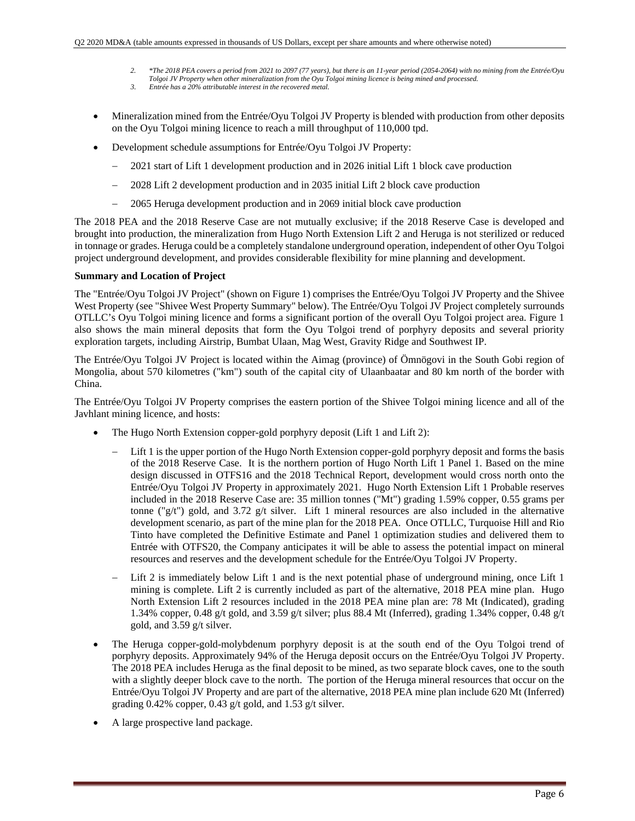- *2. \*The 2018 PEA covers a period from 2021 to 2097 (77 years), but there is an 11-year period (2054-2064) with no mining from the Entrée/Oyu* 
	- *Tolgoi JV Property when other mineralization from the Oyu Tolgoi mining licence is being mined and processed.*
- *3. Entrée has a 20% attributable interest in the recovered metal.*
- Mineralization mined from the Entrée/Oyu Tolgoi JV Property is blended with production from other deposits on the Oyu Tolgoi mining licence to reach a mill throughput of 110,000 tpd.
- Development schedule assumptions for Entrée/Oyu Tolgoi JV Property:
	- 2021 start of Lift 1 development production and in 2026 initial Lift 1 block cave production
	- 2028 Lift 2 development production and in 2035 initial Lift 2 block cave production
	- 2065 Heruga development production and in 2069 initial block cave production

The 2018 PEA and the 2018 Reserve Case are not mutually exclusive; if the 2018 Reserve Case is developed and brought into production, the mineralization from Hugo North Extension Lift 2 and Heruga is not sterilized or reduced in tonnage or grades. Heruga could be a completely standalone underground operation, independent of other Oyu Tolgoi project underground development, and provides considerable flexibility for mine planning and development.

### **Summary and Location of Project**

The "Entrée/Oyu Tolgoi JV Project" (shown on Figure 1) comprises the Entrée/Oyu Tolgoi JV Property and the Shivee West Property (see "Shivee West Property Summary" below). The Entrée/Oyu Tolgoi JV Project completely surrounds OTLLC's Oyu Tolgoi mining licence and forms a significant portion of the overall Oyu Tolgoi project area. Figure 1 also shows the main mineral deposits that form the Oyu Tolgoi trend of porphyry deposits and several priority exploration targets, including Airstrip, Bumbat Ulaan, Mag West, Gravity Ridge and Southwest IP.

The Entrée/Oyu Tolgoi JV Project is located within the Aimag (province) of Ömnögovi in the South Gobi region of Mongolia, about 570 kilometres ("km") south of the capital city of Ulaanbaatar and 80 km north of the border with China.

The Entrée/Oyu Tolgoi JV Property comprises the eastern portion of the Shivee Tolgoi mining licence and all of the Javhlant mining licence, and hosts:

- The Hugo North Extension copper-gold porphyry deposit (Lift 1 and Lift 2):
	- Lift 1 is the upper portion of the Hugo North Extension copper-gold porphyry deposit and forms the basis of the 2018 Reserve Case. It is the northern portion of Hugo North Lift 1 Panel 1. Based on the mine design discussed in OTFS16 and the 2018 Technical Report, development would cross north onto the Entrée/Oyu Tolgoi JV Property in approximately 2021. Hugo North Extension Lift 1 Probable reserves included in the 2018 Reserve Case are: 35 million tonnes ("Mt") grading 1.59% copper, 0.55 grams per tonne ("g/t") gold, and 3.72 g/t silver. Lift 1 mineral resources are also included in the alternative development scenario, as part of the mine plan for the 2018 PEA. Once OTLLC, Turquoise Hill and Rio Tinto have completed the Definitive Estimate and Panel 1 optimization studies and delivered them to Entrée with OTFS20, the Company anticipates it will be able to assess the potential impact on mineral resources and reserves and the development schedule for the Entrée/Oyu Tolgoi JV Property.
	- Lift 2 is immediately below Lift 1 and is the next potential phase of underground mining, once Lift 1 mining is complete. Lift 2 is currently included as part of the alternative, 2018 PEA mine plan. Hugo North Extension Lift 2 resources included in the 2018 PEA mine plan are: 78 Mt (Indicated), grading 1.34% copper, 0.48 g/t gold, and 3.59 g/t silver; plus 88.4 Mt (Inferred), grading 1.34% copper, 0.48 g/t gold, and 3.59 g/t silver.
- The Heruga copper-gold-molybdenum porphyry deposit is at the south end of the Oyu Tolgoi trend of porphyry deposits. Approximately 94% of the Heruga deposit occurs on the Entrée/Oyu Tolgoi JV Property. The 2018 PEA includes Heruga as the final deposit to be mined, as two separate block caves, one to the south with a slightly deeper block cave to the north. The portion of the Heruga mineral resources that occur on the Entrée/Oyu Tolgoi JV Property and are part of the alternative, 2018 PEA mine plan include 620 Mt (Inferred) grading 0.42% copper, 0.43 g/t gold, and 1.53 g/t silver.
- A large prospective land package.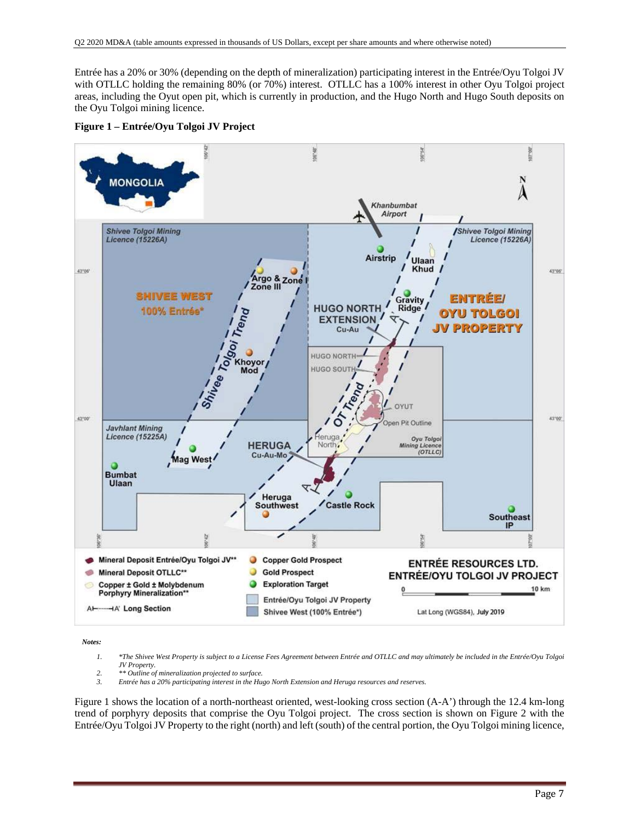Entrée has a 20% or 30% (depending on the depth of mineralization) participating interest in the Entrée/Oyu Tolgoi JV with OTLLC holding the remaining 80% (or 70%) interest. OTLLC has a 100% interest in other Oyu Tolgoi project areas, including the Oyut open pit, which is currently in production, and the Hugo North and Hugo South deposits on the Oyu Tolgoi mining licence.





*Notes:* 

- *1. \*The Shivee West Property is subject to a License Fees Agreement between Entrée and OTLLC and may ultimately be included in the Entrée/Oyu Tolgoi JV Property.*
- *2. \*\* Outline of mineralization projected to surface.*
- *3. Entrée has a 20% participating interest in the Hugo North Extension and Heruga resources and reserves.*

Figure 1 shows the location of a north-northeast oriented, west-looking cross section (A-A') through the 12.4 km-long trend of porphyry deposits that comprise the Oyu Tolgoi project. The cross section is shown on Figure 2 with the Entrée/Oyu Tolgoi JV Property to the right (north) and left (south) of the central portion, the Oyu Tolgoi mining licence,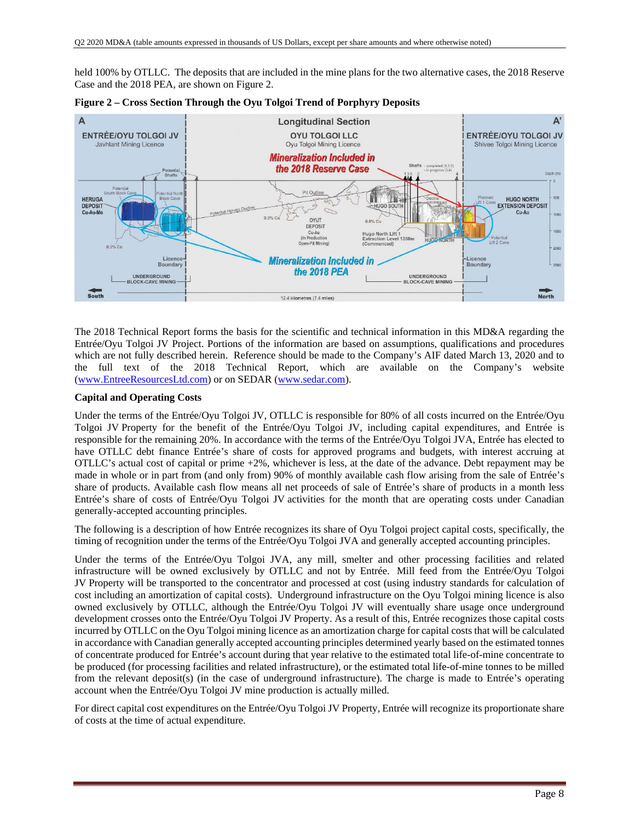held 100% by OTLLC. The deposits that are included in the mine plans for the two alternative cases, the 2018 Reserve Case and the 2018 PEA, are shown on Figure 2.



**Figure 2 – Cross Section Through the Oyu Tolgoi Trend of Porphyry Deposits** 

The 2018 Technical Report forms the basis for the scientific and technical information in this MD&A regarding the Entrée/Oyu Tolgoi JV Project. Portions of the information are based on assumptions, qualifications and procedures which are not fully described herein. Reference should be made to the Company's AIF dated March 13, 2020 and to the full text of the 2018 Technical Report, which are available on the Company's website (www.EntreeResourcesLtd.com) or on SEDAR (www.sedar.com).

### **Capital and Operating Costs**

Under the terms of the Entrée/Oyu Tolgoi JV, OTLLC is responsible for 80% of all costs incurred on the Entrée/Oyu Tolgoi JV Property for the benefit of the Entrée/Oyu Tolgoi JV, including capital expenditures, and Entrée is responsible for the remaining 20%. In accordance with the terms of the Entrée/Oyu Tolgoi JVA, Entrée has elected to have OTLLC debt finance Entrée's share of costs for approved programs and budgets, with interest accruing at OTLLC's actual cost of capital or prime +2%, whichever is less, at the date of the advance. Debt repayment may be made in whole or in part from (and only from) 90% of monthly available cash flow arising from the sale of Entrée's share of products. Available cash flow means all net proceeds of sale of Entrée's share of products in a month less Entrée's share of costs of Entrée/Oyu Tolgoi JV activities for the month that are operating costs under Canadian generally-accepted accounting principles.

The following is a description of how Entrée recognizes its share of Oyu Tolgoi project capital costs, specifically, the timing of recognition under the terms of the Entrée/Oyu Tolgoi JVA and generally accepted accounting principles.

Under the terms of the Entrée/Oyu Tolgoi JVA, any mill, smelter and other processing facilities and related infrastructure will be owned exclusively by OTLLC and not by Entrée. Mill feed from the Entrée/Oyu Tolgoi JV Property will be transported to the concentrator and processed at cost (using industry standards for calculation of cost including an amortization of capital costs). Underground infrastructure on the Oyu Tolgoi mining licence is also owned exclusively by OTLLC, although the Entrée/Oyu Tolgoi JV will eventually share usage once underground development crosses onto the Entrée/Oyu Tolgoi JV Property. As a result of this, Entrée recognizes those capital costs incurred by OTLLC on the Oyu Tolgoi mining licence as an amortization charge for capital costs that will be calculated in accordance with Canadian generally accepted accounting principles determined yearly based on the estimated tonnes of concentrate produced for Entrée's account during that year relative to the estimated total life-of-mine concentrate to be produced (for processing facilities and related infrastructure), or the estimated total life-of-mine tonnes to be milled from the relevant deposit(s) (in the case of underground infrastructure). The charge is made to Entrée's operating account when the Entrée/Oyu Tolgoi JV mine production is actually milled.

For direct capital cost expenditures on the Entrée/Oyu Tolgoi JV Property, Entrée will recognize its proportionate share of costs at the time of actual expenditure.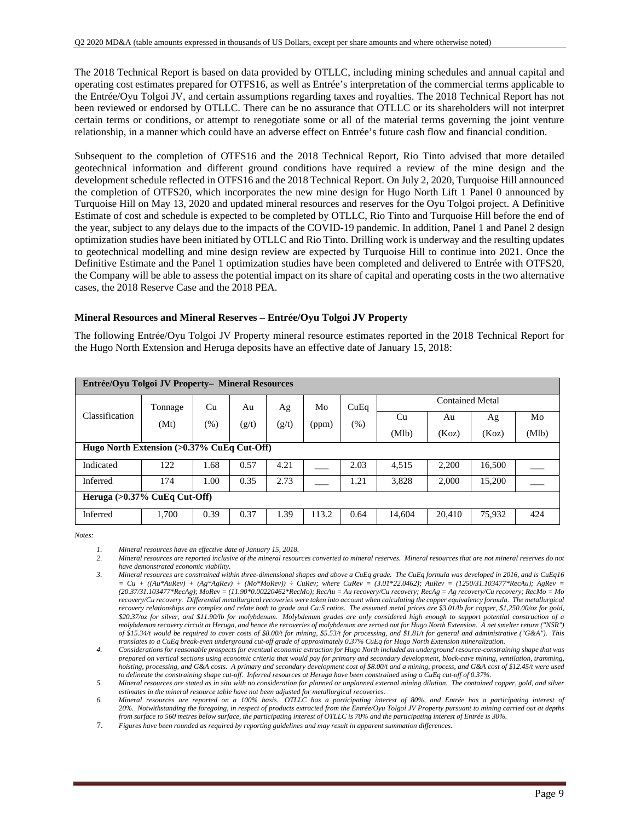The 2018 Technical Report is based on data provided by OTLLC, including mining schedules and annual capital and operating cost estimates prepared for OTFS16, as well as Entrée's interpretation of the commercial terms applicable to the Entrée/Oyu Tolgoi JV, and certain assumptions regarding taxes and royalties. The 2018 Technical Report has not been reviewed or endorsed by OTLLC. There can be no assurance that OTLLC or its shareholders will not interpret certain terms or conditions, or attempt to renegotiate some or all of the material terms governing the joint venture relationship, in a manner which could have an adverse effect on Entrée's future cash flow and financial condition.

Subsequent to the completion of OTFS16 and the 2018 Technical Report, Rio Tinto advised that more detailed geotechnical information and different ground conditions have required a review of the mine design and the development schedule reflected in OTFS16 and the 2018 Technical Report. On July 2, 2020, Turquoise Hill announced the completion of OTFS20, which incorporates the new mine design for Hugo North Lift 1 Panel 0 announced by Turquoise Hill on May 13, 2020 and updated mineral resources and reserves for the Oyu Tolgoi project. A Definitive Estimate of cost and schedule is expected to be completed by OTLLC, Rio Tinto and Turquoise Hill before the end of the year, subject to any delays due to the impacts of the COVID-19 pandemic. In addition, Panel 1 and Panel 2 design optimization studies have been initiated by OTLLC and Rio Tinto. Drilling work is underway and the resulting updates to geotechnical modelling and mine design review are expected by Turquoise Hill to continue into 2021. Once the Definitive Estimate and the Panel 1 optimization studies have been completed and delivered to Entrée with OTFS20, the Company will be able to assess the potential impact on its share of capital and operating costs in the two alternative cases, the 2018 Reserve Case and the 2018 PEA.

### **Mineral Resources and Mineral Reserves – Entrée/Oyu Tolgoi JV Property**

The following Entrée/Oyu Tolgoi JV Property mineral resource estimates reported in the 2018 Technical Report for the Hugo North Extension and Heruga deposits have an effective date of January 15, 2018:

|                                               | Entrée/Oyu Tolgoi JV Property- Mineral Resources |      |       |       |       |        |        |                        |        |       |  |  |  |
|-----------------------------------------------|--------------------------------------------------|------|-------|-------|-------|--------|--------|------------------------|--------|-------|--|--|--|
|                                               | Tonnage                                          | Cu   | Au    | Ag    | Mo    | CuEq   |        | <b>Contained Metal</b> |        |       |  |  |  |
| Classification                                | (Mt)                                             | (%)  | (g/t) | (g/t) | (ppm) | $(\%)$ | Cu     | Au                     | Ag     | Mo    |  |  |  |
|                                               |                                                  |      |       |       |       |        | (Mlb)  | (Koz)                  | (Koz)  | (Mlb) |  |  |  |
| Hugo North Extension $(>0.37\%$ CuEq Cut-Off) |                                                  |      |       |       |       |        |        |                        |        |       |  |  |  |
| Indicated                                     | 122                                              | 1.68 | 0.57  | 4.21  |       | 2.03   | 4.515  | 2.200                  | 16,500 |       |  |  |  |
| Inferred                                      | 174                                              | 1.00 | 0.35  | 2.73  |       | 1.21   | 3,828  | 2,000                  | 15,200 |       |  |  |  |
| Heruga $(>0.37\%$ CuEq Cut-Off)               |                                                  |      |       |       |       |        |        |                        |        |       |  |  |  |
| Inferred                                      | 1,700                                            | 0.39 | 0.37  | 1.39  | 113.2 | 0.64   | 14,604 | 20,410                 | 75,932 | 424   |  |  |  |

*Notes:* 

- *2. Mineral resources are reported inclusive of the mineral resources converted to mineral reserves. Mineral resources that are not mineral reserves do not have demonstrated economic viability.*
- *3. Mineral resources are constrained within three-dimensional shapes and above a CuEq grade. The CuEq formula was developed in 2016, and is CuEq16*   $= Cu + ((Au*AuRev) + (Ag*AgRev) + (Mo*MoRev)) \div CuRev$ ; where  $CuRev = (3.01*22.0462)$ ; AuRev = (1250/31.103477\*RecAu); AgRev = *(20.37/31.103477\*RecAg); MoRev = (11.90\*0.00220462\*RecMo); RecAu = Au recovery/Cu recovery; RecAg = Ag recovery/Cu recovery; RecMo = Mo recovery/Cu recovery. Differential metallurgical recoveries were taken into account when calculating the copper equivalency formula. The metallurgical recovery relationships are complex and relate both to grade and Cu:S ratios. The assumed metal prices are \$3.01/lb for copper, \$1,250.00/oz for gold, \$20.37/oz for silver, and \$11.90/lb for molybdenum. Molybdenum grades are only considered high enough to support potential construction of a molybdenum recovery circuit at Heruga, and hence the recoveries of molybdenum are zeroed out for Hugo North Extension. A net smelter return ("NSR") of \$15.34/t would be required to cover costs of \$8.00/t for mining, \$5.53/t for processing, and \$1.81/t for general and administrative ("G&A"). This translates to a CuEq break-even underground cut-off grade of approximately 0.37% CuEq for Hugo North Extension mineralization.*
- *4. Considerations for reasonable prospects for eventual economic extraction for Hugo North included an underground resource-constraining shape that was prepared on vertical sections using economic criteria that would pay for primary and secondary development, block-cave mining, ventilation, tramming, hoisting, processing, and G&A costs. A primary and secondary development cost of \$8.00/t and a mining, process, and G&A cost of \$12.45/t were used to delineate the constraining shape cut-off. Inferred resources at Heruga have been constrained using a CuEq cut-off of 0.37%.*

*5. Mineral resources are stated as in situ with no consideration for planned or unplanned external mining dilution. The contained copper, gold, and silver estimates in the mineral resource table have not been adjusted for metallurgical recoveries.* 

*6. Mineral resources are reported on a 100% basis. OTLLC has a participating interest of 80%, and Entrée has a participating interest of 20%. Notwithstanding the foregoing, in respect of products extracted from the Entrée/Oyu Tolgoi JV Property pursuant to mining carried out at depths from surface to 560 metres below surface, the participating interest of OTLLC is 70% and the participating interest of Entrée is 30%.* 

7. *Figures have been rounded as required by reporting guidelines and may result in apparent summation differences.*

*<sup>1.</sup> Mineral resources have an effective date of January 15, 2018.*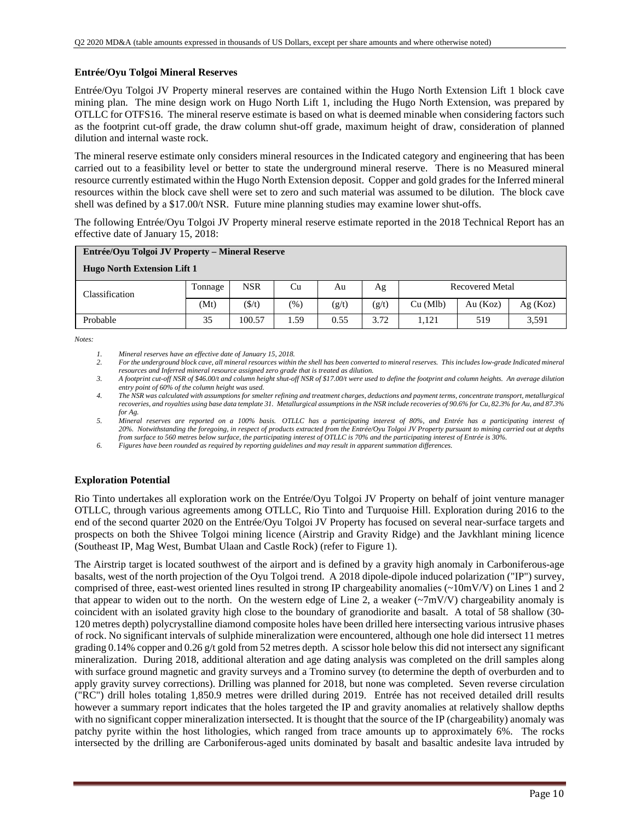### **Entrée/Oyu Tolgoi Mineral Reserves**

Entrée/Oyu Tolgoi JV Property mineral reserves are contained within the Hugo North Extension Lift 1 block cave mining plan. The mine design work on Hugo North Lift 1, including the Hugo North Extension, was prepared by OTLLC for OTFS16. The mineral reserve estimate is based on what is deemed minable when considering factors such as the footprint cut-off grade, the draw column shut-off grade, maximum height of draw, consideration of planned dilution and internal waste rock.

The mineral reserve estimate only considers mineral resources in the Indicated category and engineering that has been carried out to a feasibility level or better to state the underground mineral reserve. There is no Measured mineral resource currently estimated within the Hugo North Extension deposit. Copper and gold grades for the Inferred mineral resources within the block cave shell were set to zero and such material was assumed to be dilution. The block cave shell was defined by a \$17.00/t NSR. Future mine planning studies may examine lower shut-offs.

The following Entrée/Oyu Tolgoi JV Property mineral reserve estimate reported in the 2018 Technical Report has an effective date of January 15, 2018:

| Entrée/Oyu Tolgoi JV Property – Mineral Reserve |         |              |               |       |       |          |                        |         |  |  |  |
|-------------------------------------------------|---------|--------------|---------------|-------|-------|----------|------------------------|---------|--|--|--|
| <b>Hugo North Extension Lift 1</b>              |         |              |               |       |       |          |                        |         |  |  |  |
| Classification                                  | Tonnage | <b>NSR</b>   | Cu            | Au    | Ag    |          | <b>Recovered Metal</b> |         |  |  |  |
|                                                 | (Mt)    | $($ \$/t $)$ | $\frac{9}{6}$ | (g/t) | (g/t) | Cu (Mlb) | Au (Koz)               | Ag(Koz) |  |  |  |
| Probable                                        | 35      | 100.57       | . . 59        | 0.55  | 3.72  | 1.121    | 519                    | 3,591   |  |  |  |

*Notes:* 

- *2. For the underground block cave, all mineral resources within the shell has been converted to mineral reserves. This includes low-grade Indicated mineral resources and Inferred mineral resource assigned zero grade that is treated as dilution.*
- *3. A footprint cut-off NSR of \$46.00/t and column height shut-off NSR of \$17.00/t were used to define the footprint and column heights. An average dilution entry point of 60% of the column height was used.*
- *4. The NSR was calculated with assumptions for smelter refining and treatment charges, deductions and payment terms, concentrate transport, metallurgical recoveries, and royalties using base data template 31. Metallurgical assumptions in the NSR include recoveries of 90.6% for Cu, 82.3% for Au, and 87.3% for Ag.*

*5. Mineral reserves are reported on a 100% basis. OTLLC has a participating interest of 80%, and Entrée has a participating interest of 20%. Notwithstanding the foregoing, in respect of products extracted from the Entrée/Oyu Tolgoi JV Property pursuant to mining carried out at depths from surface to 560 metres below surface, the participating interest of OTLLC is 70% and the participating interest of Entrée is 30%.* 

*6. Figures have been rounded as required by reporting guidelines and may result in apparent summation differences.* 

### **Exploration Potential**

Rio Tinto undertakes all exploration work on the Entrée/Oyu Tolgoi JV Property on behalf of joint venture manager OTLLC, through various agreements among OTLLC, Rio Tinto and Turquoise Hill. Exploration during 2016 to the end of the second quarter 2020 on the Entrée/Oyu Tolgoi JV Property has focused on several near-surface targets and prospects on both the Shivee Tolgoi mining licence (Airstrip and Gravity Ridge) and the Javkhlant mining licence (Southeast IP, Mag West, Bumbat Ulaan and Castle Rock) (refer to Figure 1).

The Airstrip target is located southwest of the airport and is defined by a gravity high anomaly in Carboniferous-age basalts, west of the north projection of the Oyu Tolgoi trend. A 2018 dipole-dipole induced polarization ("IP") survey, comprised of three, east-west oriented lines resulted in strong IP chargeability anomalies ( $\sim$ 10mV/V) on Lines 1 and 2 that appear to widen out to the north. On the western edge of Line 2, a weaker  $(\sim 7 \text{mV/V})$  chargeability anomaly is coincident with an isolated gravity high close to the boundary of granodiorite and basalt. A total of 58 shallow (30- 120 metres depth) polycrystalline diamond composite holes have been drilled here intersecting various intrusive phases of rock. No significant intervals of sulphide mineralization were encountered, although one hole did intersect 11 metres grading  $0.14\%$  copper and  $0.26$  g/t gold from 52 metres depth. A scissor hole below this did not intersect any significant mineralization. During 2018, additional alteration and age dating analysis was completed on the drill samples along with surface ground magnetic and gravity surveys and a Tromino survey (to determine the depth of overburden and to apply gravity survey corrections). Drilling was planned for 2018, but none was completed. Seven reverse circulation ("RC") drill holes totaling 1,850.9 metres were drilled during 2019. Entrée has not received detailed drill results however a summary report indicates that the holes targeted the IP and gravity anomalies at relatively shallow depths with no significant copper mineralization intersected. It is thought that the source of the IP (chargeability) anomaly was patchy pyrite within the host lithologies, which ranged from trace amounts up to approximately 6%. The rocks intersected by the drilling are Carboniferous-aged units dominated by basalt and basaltic andesite lava intruded by

*<sup>1.</sup> Mineral reserves have an effective date of January 15, 2018.*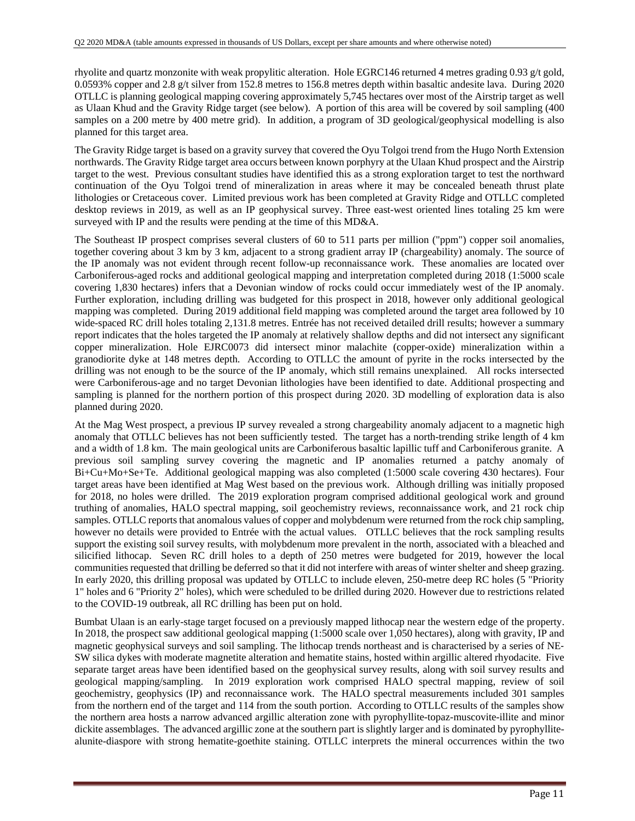rhyolite and quartz monzonite with weak propylitic alteration. Hole EGRC146 returned 4 metres grading 0.93 g/t gold, 0.0593% copper and 2.8 g/t silver from 152.8 metres to 156.8 metres depth within basaltic andesite lava. During 2020 OTLLC is planning geological mapping covering approximately 5,745 hectares over most of the Airstrip target as well as Ulaan Khud and the Gravity Ridge target (see below). A portion of this area will be covered by soil sampling (400 samples on a 200 metre by 400 metre grid). In addition, a program of 3D geological/geophysical modelling is also planned for this target area.

The Gravity Ridge target is based on a gravity survey that covered the Oyu Tolgoi trend from the Hugo North Extension northwards. The Gravity Ridge target area occurs between known porphyry at the Ulaan Khud prospect and the Airstrip target to the west. Previous consultant studies have identified this as a strong exploration target to test the northward continuation of the Oyu Tolgoi trend of mineralization in areas where it may be concealed beneath thrust plate lithologies or Cretaceous cover. Limited previous work has been completed at Gravity Ridge and OTLLC completed desktop reviews in 2019, as well as an IP geophysical survey. Three east-west oriented lines totaling 25 km were surveyed with IP and the results were pending at the time of this MD&A.

The Southeast IP prospect comprises several clusters of 60 to 511 parts per million ("ppm") copper soil anomalies, together covering about 3 km by 3 km, adjacent to a strong gradient array IP (chargeability) anomaly. The source of the IP anomaly was not evident through recent follow-up reconnaissance work. These anomalies are located over Carboniferous-aged rocks and additional geological mapping and interpretation completed during 2018 (1:5000 scale covering 1,830 hectares) infers that a Devonian window of rocks could occur immediately west of the IP anomaly. Further exploration, including drilling was budgeted for this prospect in 2018, however only additional geological mapping was completed. During 2019 additional field mapping was completed around the target area followed by 10 wide-spaced RC drill holes totaling 2,131.8 metres. Entrée has not received detailed drill results; however a summary report indicates that the holes targeted the IP anomaly at relatively shallow depths and did not intersect any significant copper mineralization. Hole EJRC0073 did intersect minor malachite (copper-oxide) mineralization within a granodiorite dyke at 148 metres depth. According to OTLLC the amount of pyrite in the rocks intersected by the drilling was not enough to be the source of the IP anomaly, which still remains unexplained. All rocks intersected were Carboniferous-age and no target Devonian lithologies have been identified to date. Additional prospecting and sampling is planned for the northern portion of this prospect during 2020. 3D modelling of exploration data is also planned during 2020.

At the Mag West prospect, a previous IP survey revealed a strong chargeability anomaly adjacent to a magnetic high anomaly that OTLLC believes has not been sufficiently tested. The target has a north-trending strike length of 4 km and a width of 1.8 km. The main geological units are Carboniferous basaltic lapillic tuff and Carboniferous granite. A previous soil sampling survey covering the magnetic and IP anomalies returned a patchy anomaly of Bi+Cu+Mo+Se+Te. Additional geological mapping was also completed (1:5000 scale covering 430 hectares). Four target areas have been identified at Mag West based on the previous work. Although drilling was initially proposed for 2018, no holes were drilled. The 2019 exploration program comprised additional geological work and ground truthing of anomalies, HALO spectral mapping, soil geochemistry reviews, reconnaissance work, and 21 rock chip samples. OTLLC reports that anomalous values of copper and molybdenum were returned from the rock chip sampling, however no details were provided to Entrée with the actual values. OTLLC believes that the rock sampling results support the existing soil survey results, with molybdenum more prevalent in the north, associated with a bleached and silicified lithocap. Seven RC drill holes to a depth of 250 metres were budgeted for 2019, however the local communities requested that drilling be deferred so that it did not interfere with areas of winter shelter and sheep grazing. In early 2020, this drilling proposal was updated by OTLLC to include eleven, 250-metre deep RC holes (5 "Priority 1" holes and 6 "Priority 2" holes), which were scheduled to be drilled during 2020. However due to restrictions related to the COVID-19 outbreak, all RC drilling has been put on hold.

Bumbat Ulaan is an early-stage target focused on a previously mapped lithocap near the western edge of the property. In 2018, the prospect saw additional geological mapping (1:5000 scale over 1,050 hectares), along with gravity, IP and magnetic geophysical surveys and soil sampling. The lithocap trends northeast and is characterised by a series of NE‐ SW silica dykes with moderate magnetite alteration and hematite stains, hosted within argillic altered rhyodacite. Five separate target areas have been identified based on the geophysical survey results, along with soil survey results and geological mapping/sampling. In 2019 exploration work comprised HALO spectral mapping, review of soil geochemistry, geophysics (IP) and reconnaissance work. The HALO spectral measurements included 301 samples from the northern end of the target and 114 from the south portion. According to OTLLC results of the samples show the northern area hosts a narrow advanced argillic alteration zone with pyrophyllite-topaz-muscovite-illite and minor dickite assemblages. The advanced argillic zone at the southern part is slightly larger and is dominated by pyrophyllitealunite-diaspore with strong hematite-goethite staining. OTLLC interprets the mineral occurrences within the two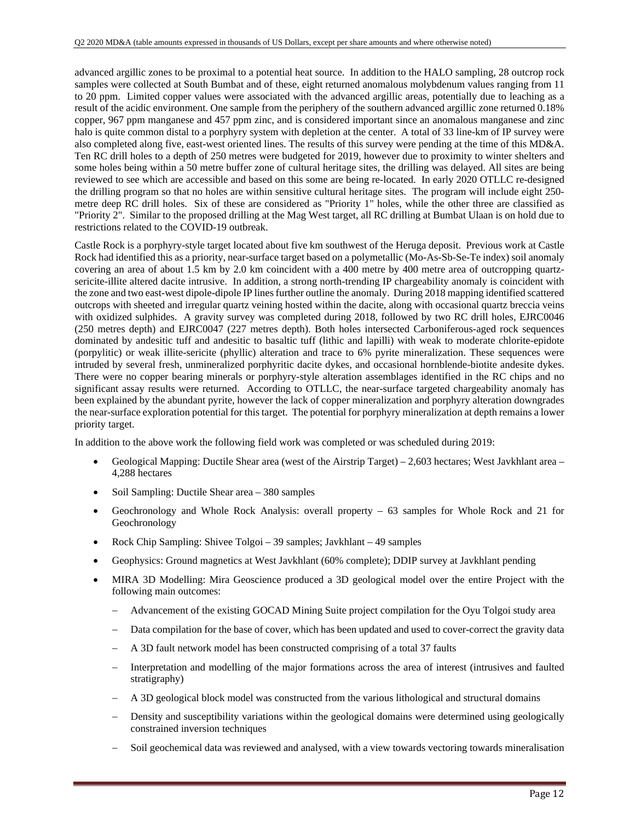advanced argillic zones to be proximal to a potential heat source. In addition to the HALO sampling, 28 outcrop rock samples were collected at South Bumbat and of these, eight returned anomalous molybdenum values ranging from 11 to 20 ppm. Limited copper values were associated with the advanced argillic areas, potentially due to leaching as a result of the acidic environment. One sample from the periphery of the southern advanced argillic zone returned 0.18% copper, 967 ppm manganese and 457 ppm zinc, and is considered important since an anomalous manganese and zinc halo is quite common distal to a porphyry system with depletion at the center. A total of 33 line-km of IP survey were also completed along five, east-west oriented lines. The results of this survey were pending at the time of this MD&A. Ten RC drill holes to a depth of 250 metres were budgeted for 2019, however due to proximity to winter shelters and some holes being within a 50 metre buffer zone of cultural heritage sites, the drilling was delayed. All sites are being reviewed to see which are accessible and based on this some are being re-located. In early 2020 OTLLC re-designed the drilling program so that no holes are within sensitive cultural heritage sites. The program will include eight 250 metre deep RC drill holes. Six of these are considered as "Priority 1" holes, while the other three are classified as "Priority 2". Similar to the proposed drilling at the Mag West target, all RC drilling at Bumbat Ulaan is on hold due to restrictions related to the COVID-19 outbreak.

Castle Rock is a porphyry-style target located about five km southwest of the Heruga deposit. Previous work at Castle Rock had identified this as a priority, near-surface target based on a polymetallic (Mo-As-Sb-Se-Te index) soil anomaly covering an area of about 1.5 km by 2.0 km coincident with a 400 metre by 400 metre area of outcropping quartzsericite-illite altered dacite intrusive. In addition, a strong north-trending IP chargeability anomaly is coincident with the zone and two east-west dipole-dipole IP lines further outline the anomaly. During 2018 mapping identified scattered outcrops with sheeted and irregular quartz veining hosted within the dacite, along with occasional quartz breccia veins with oxidized sulphides. A gravity survey was completed during 2018, followed by two RC drill holes, EJRC0046 (250 metres depth) and EJRC0047 (227 metres depth). Both holes intersected Carboniferous-aged rock sequences dominated by andesitic tuff and andesitic to basaltic tuff (lithic and lapilli) with weak to moderate chlorite-epidote (porpylitic) or weak illite-sericite (phyllic) alteration and trace to 6% pyrite mineralization. These sequences were intruded by several fresh, unmineralized porphyritic dacite dykes, and occasional hornblende-biotite andesite dykes. There were no copper bearing minerals or porphyry-style alteration assemblages identified in the RC chips and no significant assay results were returned. According to OTLLC, the near-surface targeted chargeability anomaly has been explained by the abundant pyrite, however the lack of copper mineralization and porphyry alteration downgrades the near-surface exploration potential for this target. The potential for porphyry mineralization at depth remains a lower priority target.

In addition to the above work the following field work was completed or was scheduled during 2019:

- Geological Mapping: Ductile Shear area (west of the Airstrip Target) 2,603 hectares; West Javkhlant area 4,288 hectares
- Soil Sampling: Ductile Shear area 380 samples
- Geochronology and Whole Rock Analysis: overall property 63 samples for Whole Rock and 21 for Geochronology
- Rock Chip Sampling: Shivee Tolgoi 39 samples; Javkhlant 49 samples
- Geophysics: Ground magnetics at West Javkhlant (60% complete); DDIP survey at Javkhlant pending
- MIRA 3D Modelling: Mira Geoscience produced a 3D geological model over the entire Project with the following main outcomes:
	- Advancement of the existing GOCAD Mining Suite project compilation for the Oyu Tolgoi study area
	- Data compilation for the base of cover, which has been updated and used to cover-correct the gravity data
	- A 3D fault network model has been constructed comprising of a total 37 faults
	- Interpretation and modelling of the major formations across the area of interest (intrusives and faulted stratigraphy)
	- A 3D geological block model was constructed from the various lithological and structural domains
	- Density and susceptibility variations within the geological domains were determined using geologically constrained inversion techniques
	- Soil geochemical data was reviewed and analysed, with a view towards vectoring towards mineralisation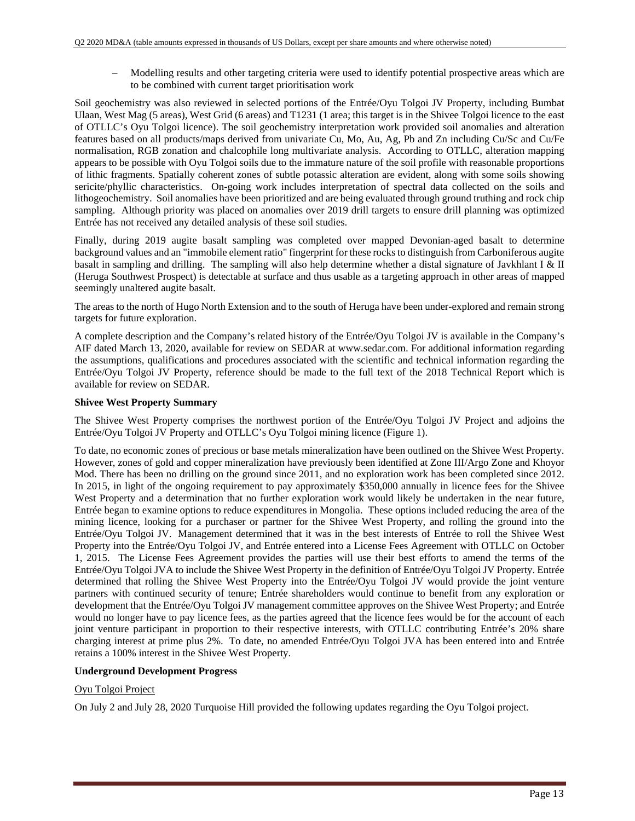Modelling results and other targeting criteria were used to identify potential prospective areas which are to be combined with current target prioritisation work

Soil geochemistry was also reviewed in selected portions of the Entrée/Oyu Tolgoi JV Property, including Bumbat Ulaan, West Mag (5 areas), West Grid (6 areas) and T1231 (1 area; this target is in the Shivee Tolgoi licence to the east of OTLLC's Oyu Tolgoi licence). The soil geochemistry interpretation work provided soil anomalies and alteration features based on all products/maps derived from univariate Cu, Mo, Au, Ag, Pb and Zn including Cu/Sc and Cu/Fe normalisation, RGB zonation and chalcophile long multivariate analysis. According to OTLLC, alteration mapping appears to be possible with Oyu Tolgoi soils due to the immature nature of the soil profile with reasonable proportions of lithic fragments. Spatially coherent zones of subtle potassic alteration are evident, along with some soils showing sericite/phyllic characteristics. On-going work includes interpretation of spectral data collected on the soils and lithogeochemistry. Soil anomalies have been prioritized and are being evaluated through ground truthing and rock chip sampling. Although priority was placed on anomalies over 2019 drill targets to ensure drill planning was optimized Entrée has not received any detailed analysis of these soil studies.

Finally, during 2019 augite basalt sampling was completed over mapped Devonian-aged basalt to determine background values and an "immobile element ratio" fingerprint for these rocks to distinguish from Carboniferous augite basalt in sampling and drilling. The sampling will also help determine whether a distal signature of Javkhlant I & II (Heruga Southwest Prospect) is detectable at surface and thus usable as a targeting approach in other areas of mapped seemingly unaltered augite basalt.

The areas to the north of Hugo North Extension and to the south of Heruga have been under-explored and remain strong targets for future exploration.

A complete description and the Company's related history of the Entrée/Oyu Tolgoi JV is available in the Company's AIF dated March 13, 2020, available for review on SEDAR at www.sedar.com. For additional information regarding the assumptions, qualifications and procedures associated with the scientific and technical information regarding the Entrée/Oyu Tolgoi JV Property, reference should be made to the full text of the 2018 Technical Report which is available for review on SEDAR.

### **Shivee West Property Summary**

The Shivee West Property comprises the northwest portion of the Entrée/Oyu Tolgoi JV Project and adjoins the Entrée/Oyu Tolgoi JV Property and OTLLC's Oyu Tolgoi mining licence (Figure 1).

To date, no economic zones of precious or base metals mineralization have been outlined on the Shivee West Property. However, zones of gold and copper mineralization have previously been identified at Zone III/Argo Zone and Khoyor Mod. There has been no drilling on the ground since 2011, and no exploration work has been completed since 2012. In 2015, in light of the ongoing requirement to pay approximately \$350,000 annually in licence fees for the Shivee West Property and a determination that no further exploration work would likely be undertaken in the near future, Entrée began to examine options to reduce expenditures in Mongolia. These options included reducing the area of the mining licence, looking for a purchaser or partner for the Shivee West Property, and rolling the ground into the Entrée/Oyu Tolgoi JV. Management determined that it was in the best interests of Entrée to roll the Shivee West Property into the Entrée/Oyu Tolgoi JV, and Entrée entered into a License Fees Agreement with OTLLC on October 1, 2015. The License Fees Agreement provides the parties will use their best efforts to amend the terms of the Entrée/Oyu Tolgoi JVA to include the Shivee West Property in the definition of Entrée/Oyu Tolgoi JV Property. Entrée determined that rolling the Shivee West Property into the Entrée/Oyu Tolgoi JV would provide the joint venture partners with continued security of tenure; Entrée shareholders would continue to benefit from any exploration or development that the Entrée/Oyu Tolgoi JV management committee approves on the Shivee West Property; and Entrée would no longer have to pay licence fees, as the parties agreed that the licence fees would be for the account of each joint venture participant in proportion to their respective interests, with OTLLC contributing Entrée's 20% share charging interest at prime plus 2%. To date, no amended Entrée/Oyu Tolgoi JVA has been entered into and Entrée retains a 100% interest in the Shivee West Property.

### **Underground Development Progress**

### Oyu Tolgoi Project

On July 2 and July 28, 2020 Turquoise Hill provided the following updates regarding the Oyu Tolgoi project.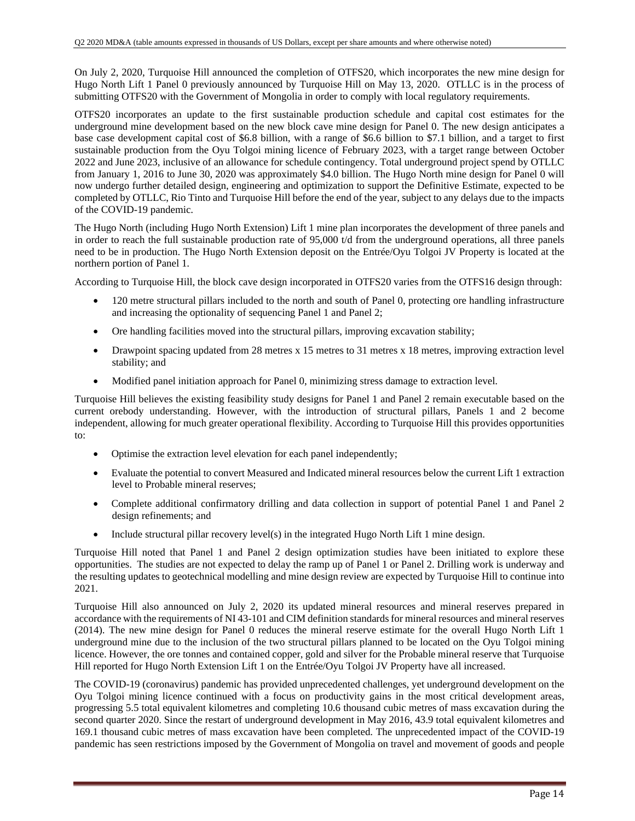On July 2, 2020, Turquoise Hill announced the completion of OTFS20, which incorporates the new mine design for Hugo North Lift 1 Panel 0 previously announced by Turquoise Hill on May 13, 2020. OTLLC is in the process of submitting OTFS20 with the Government of Mongolia in order to comply with local regulatory requirements.

OTFS20 incorporates an update to the first sustainable production schedule and capital cost estimates for the underground mine development based on the new block cave mine design for Panel 0. The new design anticipates a base case development capital cost of \$6.8 billion, with a range of \$6.6 billion to \$7.1 billion, and a target to first sustainable production from the Oyu Tolgoi mining licence of February 2023, with a target range between October 2022 and June 2023, inclusive of an allowance for schedule contingency. Total underground project spend by OTLLC from January 1, 2016 to June 30, 2020 was approximately \$4.0 billion. The Hugo North mine design for Panel 0 will now undergo further detailed design, engineering and optimization to support the Definitive Estimate, expected to be completed by OTLLC, Rio Tinto and Turquoise Hill before the end of the year, subject to any delays due to the impacts of the COVID-19 pandemic.

The Hugo North (including Hugo North Extension) Lift 1 mine plan incorporates the development of three panels and in order to reach the full sustainable production rate of 95,000 t/d from the underground operations, all three panels need to be in production. The Hugo North Extension deposit on the Entrée/Oyu Tolgoi JV Property is located at the northern portion of Panel 1.

According to Turquoise Hill, the block cave design incorporated in OTFS20 varies from the OTFS16 design through:

- 120 metre structural pillars included to the north and south of Panel 0, protecting ore handling infrastructure and increasing the optionality of sequencing Panel 1 and Panel 2;
- Ore handling facilities moved into the structural pillars, improving excavation stability;
- Drawpoint spacing updated from 28 metres x 15 metres to 31 metres x 18 metres, improving extraction level stability; and
- Modified panel initiation approach for Panel 0, minimizing stress damage to extraction level.

Turquoise Hill believes the existing feasibility study designs for Panel 1 and Panel 2 remain executable based on the current orebody understanding. However, with the introduction of structural pillars, Panels 1 and 2 become independent, allowing for much greater operational flexibility. According to Turquoise Hill this provides opportunities to:

- Optimise the extraction level elevation for each panel independently;
- Evaluate the potential to convert Measured and Indicated mineral resources below the current Lift 1 extraction level to Probable mineral reserves;
- Complete additional confirmatory drilling and data collection in support of potential Panel 1 and Panel 2 design refinements; and
- Include structural pillar recovery level(s) in the integrated Hugo North Lift 1 mine design.

Turquoise Hill noted that Panel 1 and Panel 2 design optimization studies have been initiated to explore these opportunities. The studies are not expected to delay the ramp up of Panel 1 or Panel 2. Drilling work is underway and the resulting updates to geotechnical modelling and mine design review are expected by Turquoise Hill to continue into 2021.

Turquoise Hill also announced on July 2, 2020 its updated mineral resources and mineral reserves prepared in accordance with the requirements of NI 43-101 and CIM definition standards for mineral resources and mineral reserves (2014). The new mine design for Panel 0 reduces the mineral reserve estimate for the overall Hugo North Lift 1 underground mine due to the inclusion of the two structural pillars planned to be located on the Oyu Tolgoi mining licence. However, the ore tonnes and contained copper, gold and silver for the Probable mineral reserve that Turquoise Hill reported for Hugo North Extension Lift 1 on the Entrée/Oyu Tolgoi JV Property have all increased.

The COVID-19 (coronavirus) pandemic has provided unprecedented challenges, yet underground development on the Oyu Tolgoi mining licence continued with a focus on productivity gains in the most critical development areas, progressing 5.5 total equivalent kilometres and completing 10.6 thousand cubic metres of mass excavation during the second quarter 2020. Since the restart of underground development in May 2016, 43.9 total equivalent kilometres and 169.1 thousand cubic metres of mass excavation have been completed. The unprecedented impact of the COVID-19 pandemic has seen restrictions imposed by the Government of Mongolia on travel and movement of goods and people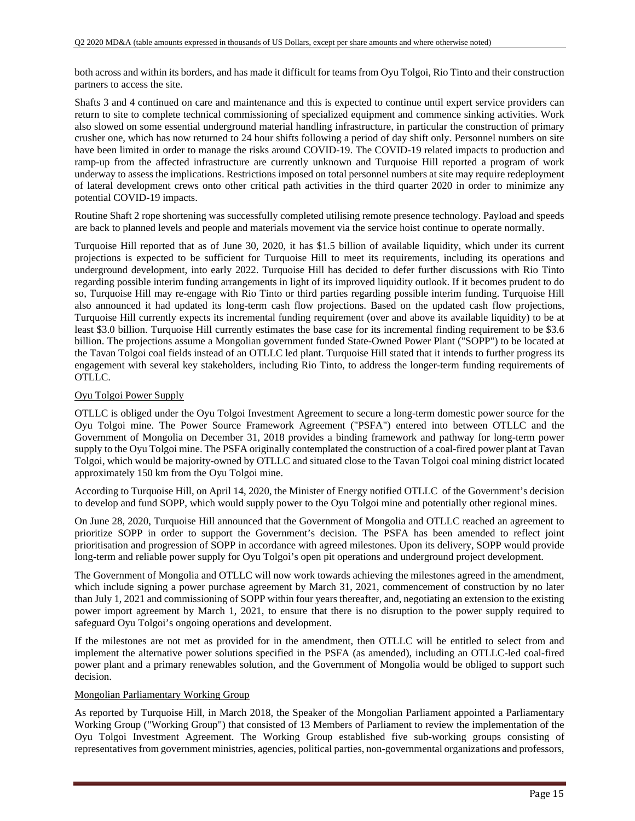both across and within its borders, and has made it difficult for teams from Oyu Tolgoi, Rio Tinto and their construction partners to access the site.

Shafts 3 and 4 continued on care and maintenance and this is expected to continue until expert service providers can return to site to complete technical commissioning of specialized equipment and commence sinking activities. Work also slowed on some essential underground material handling infrastructure, in particular the construction of primary crusher one, which has now returned to 24 hour shifts following a period of day shift only. Personnel numbers on site have been limited in order to manage the risks around COVID-19. The COVID-19 related impacts to production and ramp-up from the affected infrastructure are currently unknown and Turquoise Hill reported a program of work underway to assess the implications. Restrictions imposed on total personnel numbers at site may require redeployment of lateral development crews onto other critical path activities in the third quarter 2020 in order to minimize any potential COVID-19 impacts.

Routine Shaft 2 rope shortening was successfully completed utilising remote presence technology. Payload and speeds are back to planned levels and people and materials movement via the service hoist continue to operate normally.

Turquoise Hill reported that as of June 30, 2020, it has \$1.5 billion of available liquidity, which under its current projections is expected to be sufficient for Turquoise Hill to meet its requirements, including its operations and underground development, into early 2022. Turquoise Hill has decided to defer further discussions with Rio Tinto regarding possible interim funding arrangements in light of its improved liquidity outlook. If it becomes prudent to do so, Turquoise Hill may re-engage with Rio Tinto or third parties regarding possible interim funding. Turquoise Hill also announced it had updated its long-term cash flow projections. Based on the updated cash flow projections, Turquoise Hill currently expects its incremental funding requirement (over and above its available liquidity) to be at least \$3.0 billion. Turquoise Hill currently estimates the base case for its incremental finding requirement to be \$3.6 billion. The projections assume a Mongolian government funded State-Owned Power Plant ("SOPP") to be located at the Tavan Tolgoi coal fields instead of an OTLLC led plant. Turquoise Hill stated that it intends to further progress its engagement with several key stakeholders, including Rio Tinto, to address the longer-term funding requirements of OTLLC.

### Oyu Tolgoi Power Supply

OTLLC is obliged under the Oyu Tolgoi Investment Agreement to secure a long-term domestic power source for the Oyu Tolgoi mine. The Power Source Framework Agreement ("PSFA") entered into between OTLLC and the Government of Mongolia on December 31, 2018 provides a binding framework and pathway for long-term power supply to the Oyu Tolgoi mine. The PSFA originally contemplated the construction of a coal-fired power plant at Tavan Tolgoi, which would be majority-owned by OTLLC and situated close to the Tavan Tolgoi coal mining district located approximately 150 km from the Oyu Tolgoi mine.

According to Turquoise Hill, on April 14, 2020, the Minister of Energy notified OTLLC of the Government's decision to develop and fund SOPP, which would supply power to the Oyu Tolgoi mine and potentially other regional mines.

On June 28, 2020, Turquoise Hill announced that the Government of Mongolia and OTLLC reached an agreement to prioritize SOPP in order to support the Government's decision. The PSFA has been amended to reflect joint prioritisation and progression of SOPP in accordance with agreed milestones. Upon its delivery, SOPP would provide long-term and reliable power supply for Oyu Tolgoi's open pit operations and underground project development.

The Government of Mongolia and OTLLC will now work towards achieving the milestones agreed in the amendment, which include signing a power purchase agreement by March 31, 2021, commencement of construction by no later than July 1, 2021 and commissioning of SOPP within four years thereafter, and, negotiating an extension to the existing power import agreement by March 1, 2021, to ensure that there is no disruption to the power supply required to safeguard Oyu Tolgoi's ongoing operations and development.

If the milestones are not met as provided for in the amendment, then OTLLC will be entitled to select from and implement the alternative power solutions specified in the PSFA (as amended), including an OTLLC-led coal-fired power plant and a primary renewables solution, and the Government of Mongolia would be obliged to support such decision.

### Mongolian Parliamentary Working Group

As reported by Turquoise Hill, in March 2018, the Speaker of the Mongolian Parliament appointed a Parliamentary Working Group ("Working Group") that consisted of 13 Members of Parliament to review the implementation of the Oyu Tolgoi Investment Agreement. The Working Group established five sub-working groups consisting of representatives from government ministries, agencies, political parties, non-governmental organizations and professors,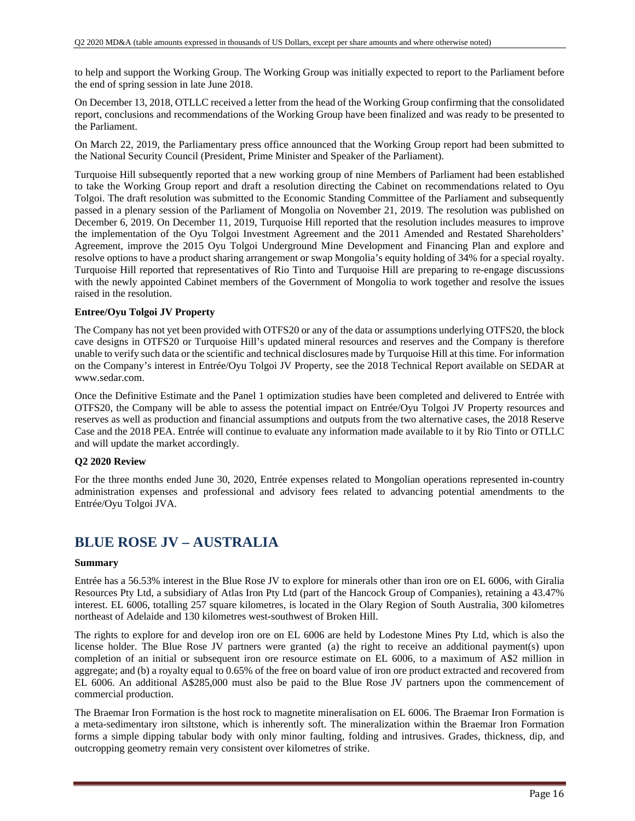to help and support the Working Group. The Working Group was initially expected to report to the Parliament before the end of spring session in late June 2018.

On December 13, 2018, OTLLC received a letter from the head of the Working Group confirming that the consolidated report, conclusions and recommendations of the Working Group have been finalized and was ready to be presented to the Parliament.

On March 22, 2019, the Parliamentary press office announced that the Working Group report had been submitted to the National Security Council (President, Prime Minister and Speaker of the Parliament).

Turquoise Hill subsequently reported that a new working group of nine Members of Parliament had been established to take the Working Group report and draft a resolution directing the Cabinet on recommendations related to Oyu Tolgoi. The draft resolution was submitted to the Economic Standing Committee of the Parliament and subsequently passed in a plenary session of the Parliament of Mongolia on November 21, 2019. The resolution was published on December 6, 2019. On December 11, 2019, Turquoise Hill reported that the resolution includes measures to improve the implementation of the Oyu Tolgoi Investment Agreement and the 2011 Amended and Restated Shareholders' Agreement, improve the 2015 Oyu Tolgoi Underground Mine Development and Financing Plan and explore and resolve options to have a product sharing arrangement or swap Mongolia's equity holding of 34% for a special royalty. Turquoise Hill reported that representatives of Rio Tinto and Turquoise Hill are preparing to re-engage discussions with the newly appointed Cabinet members of the Government of Mongolia to work together and resolve the issues raised in the resolution.

### **Entree/Oyu Tolgoi JV Property**

The Company has not yet been provided with OTFS20 or any of the data or assumptions underlying OTFS20, the block cave designs in OTFS20 or Turquoise Hill's updated mineral resources and reserves and the Company is therefore unable to verify such data or the scientific and technical disclosures made by Turquoise Hill at this time. For information on the Company's interest in Entrée/Oyu Tolgoi JV Property, see the 2018 Technical Report available on SEDAR at www.sedar.com.

Once the Definitive Estimate and the Panel 1 optimization studies have been completed and delivered to Entrée with OTFS20, the Company will be able to assess the potential impact on Entrée/Oyu Tolgoi JV Property resources and reserves as well as production and financial assumptions and outputs from the two alternative cases, the 2018 Reserve Case and the 2018 PEA. Entrée will continue to evaluate any information made available to it by Rio Tinto or OTLLC and will update the market accordingly.

### **Q2 2020 Review**

For the three months ended June 30, 2020, Entrée expenses related to Mongolian operations represented in-country administration expenses and professional and advisory fees related to advancing potential amendments to the Entrée/Oyu Tolgoi JVA.

## **BLUE ROSE JV – AUSTRALIA**

### **Summary**

Entrée has a 56.53% interest in the Blue Rose JV to explore for minerals other than iron ore on EL 6006, with Giralia Resources Pty Ltd, a subsidiary of Atlas Iron Pty Ltd (part of the Hancock Group of Companies), retaining a 43.47% interest. EL 6006, totalling 257 square kilometres, is located in the Olary Region of South Australia, 300 kilometres northeast of Adelaide and 130 kilometres west-southwest of Broken Hill.

The rights to explore for and develop iron ore on EL 6006 are held by Lodestone Mines Pty Ltd, which is also the license holder. The Blue Rose JV partners were granted (a) the right to receive an additional payment(s) upon completion of an initial or subsequent iron ore resource estimate on EL 6006, to a maximum of A\$2 million in aggregate; and (b) a royalty equal to 0.65% of the free on board value of iron ore product extracted and recovered from EL 6006. An additional A\$285,000 must also be paid to the Blue Rose JV partners upon the commencement of commercial production.

The Braemar Iron Formation is the host rock to magnetite mineralisation on EL 6006. The Braemar Iron Formation is a meta-sedimentary iron siltstone, which is inherently soft. The mineralization within the Braemar Iron Formation forms a simple dipping tabular body with only minor faulting, folding and intrusives. Grades, thickness, dip, and outcropping geometry remain very consistent over kilometres of strike.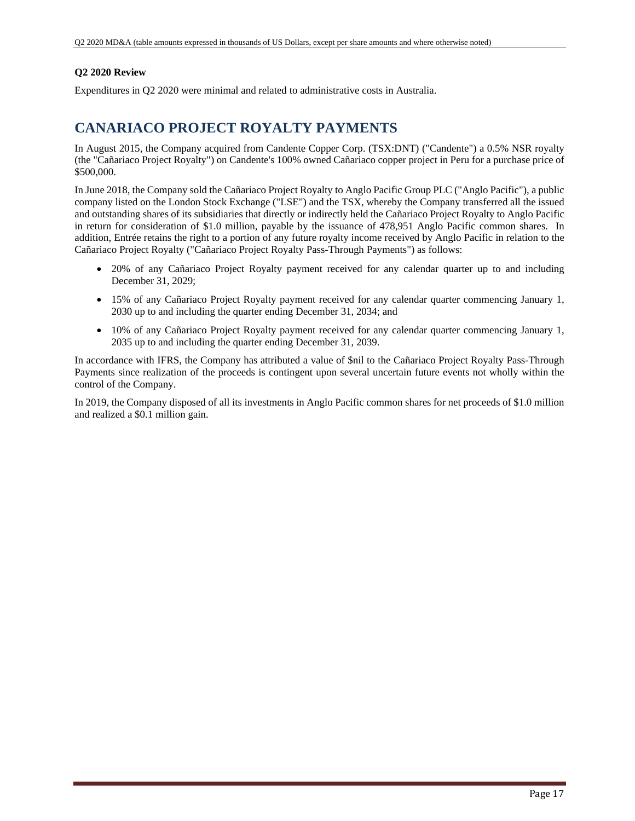### **Q2 2020 Review**

Expenditures in Q2 2020 were minimal and related to administrative costs in Australia.

### **CANARIACO PROJECT ROYALTY PAYMENTS**

In August 2015, the Company acquired from Candente Copper Corp. (TSX:DNT) ("Candente") a 0.5% NSR royalty (the "Cañariaco Project Royalty") on Candente's 100% owned Cañariaco copper project in Peru for a purchase price of \$500,000.

In June 2018, the Company sold the Cañariaco Project Royalty to Anglo Pacific Group PLC ("Anglo Pacific"), a public company listed on the London Stock Exchange ("LSE") and the TSX, whereby the Company transferred all the issued and outstanding shares of its subsidiaries that directly or indirectly held the Cañariaco Project Royalty to Anglo Pacific in return for consideration of \$1.0 million, payable by the issuance of 478,951 Anglo Pacific common shares. In addition, Entrée retains the right to a portion of any future royalty income received by Anglo Pacific in relation to the Cañariaco Project Royalty ("Cañariaco Project Royalty Pass-Through Payments") as follows:

- 20% of any Cañariaco Project Royalty payment received for any calendar quarter up to and including December 31, 2029;
- 15% of any Cañariaco Project Royalty payment received for any calendar quarter commencing January 1, 2030 up to and including the quarter ending December 31, 2034; and
- 10% of any Cañariaco Project Royalty payment received for any calendar quarter commencing January 1, 2035 up to and including the quarter ending December 31, 2039.

In accordance with IFRS, the Company has attributed a value of \$nil to the Cañariaco Project Royalty Pass-Through Payments since realization of the proceeds is contingent upon several uncertain future events not wholly within the control of the Company.

In 2019, the Company disposed of all its investments in Anglo Pacific common shares for net proceeds of \$1.0 million and realized a \$0.1 million gain.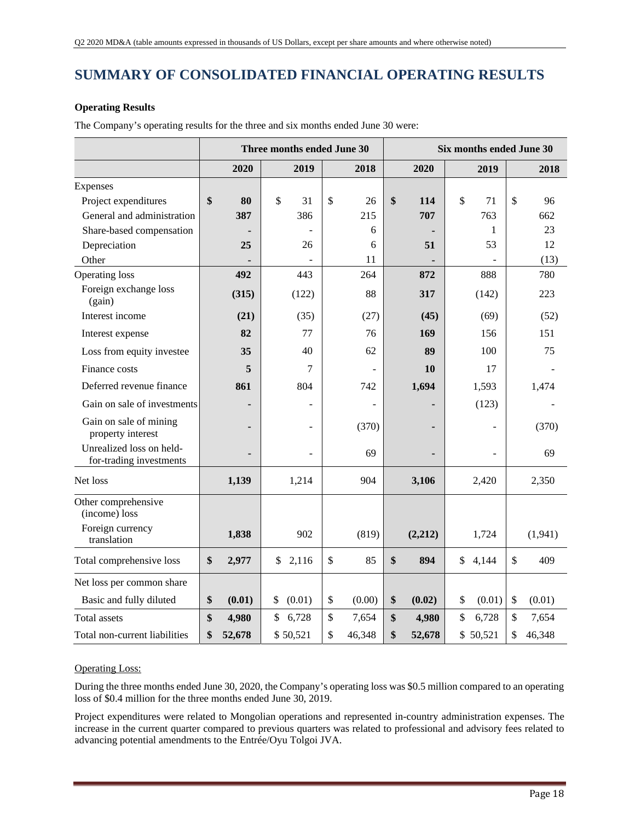## **SUMMARY OF CONSOLIDATED FINANCIAL OPERATING RESULTS**

### **Operating Results**

**Three months ended June 30 Six months ended June 30 2020 2019 2018 2020 2019 2018**  Expenses Project expenditures **\$ 80** \$ 31 \$ 26 **\$ 114** \$ 71 \$ 96 General and administration **387 386** 215 **707** 763 662 Share-based compensation **- 1 1** 23 **Depreciation 25 25 26 6 51 53 12** Other **-** - 11 **-** - (13) Operating loss **492 443 264 872** 888 780 Foreign exchange loss (gain) **(315)** (315) (122) 88 317 (142) 223 Interest income **(21)** (35) (27) **(45)** (69) (52) **Interest expense 82 77 76 169 156 151** Loss from equity investee **35 40 62 89 100 75 89 Finance costs 5 10 17** -Deferred revenue finance **861** 804 742 **1,694** 1,593 1,474 Gain on sale of investments **-**  $\vert$  **-**  $\vert$  **-**  $\vert$  **-**  $\vert$  **123**) Gain on sale of mining and on sale of mining<br>property interest **-**  $(370)$  **-**  $(370)$  **-**  $(370)$ Unrealized loss on heldfor-trading investments **-** - 69 **-** - 69 Net loss **1,139** 1,214 904 **3,106** 2,420 2,350 Other comprehensive (income) loss Foreign currency translation **1,838** 902 (819) **(2,212)** 1,724 (1,941) Total comprehensive loss **\$ 2,977** \$ 2,116 \$ 85 **\$ 894** \$ 4,144 \$ 409 Net loss per common share Basic and fully diluted **\$ (0.01)**  $\frac{1}{2}$  (0.01)  $\frac{1}{2}$  (0.00)  $\frac{1}{2}$  (0.02)  $\frac{1}{2}$  (0.01)  $\frac{1}{2}$  (0.01) Total assets **\$ 4,980** \$ 6,728 \$ 7,654 **\$ 4,980** \$ 6,728 \$ 7,654 Total non-current liabilities **\$ 52,678** \$ 50,521 \$ 46,348 **\$ 52,678** \$ 50,521 \$ 46,348

The Company's operating results for the three and six months ended June 30 were:

### Operating Loss:

During the three months ended June 30, 2020, the Company's operating loss was \$0.5 million compared to an operating loss of \$0.4 million for the three months ended June 30, 2019.

Project expenditures were related to Mongolian operations and represented in-country administration expenses. The increase in the current quarter compared to previous quarters was related to professional and advisory fees related to advancing potential amendments to the Entrée/Oyu Tolgoi JVA.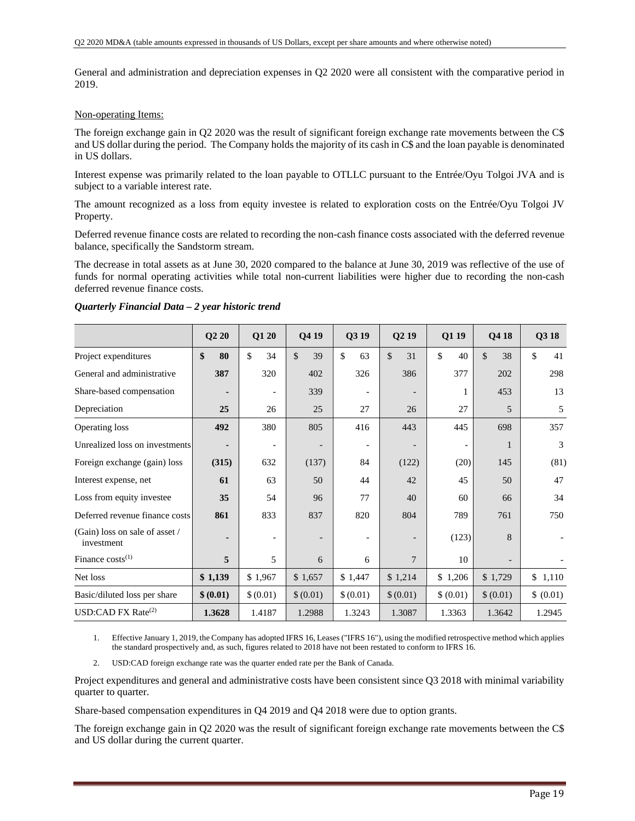General and administration and depreciation expenses in Q2 2020 were all consistent with the comparative period in 2019.

#### Non-operating Items:

The foreign exchange gain in Q2 2020 was the result of significant foreign exchange rate movements between the C\$ and US dollar during the period. The Company holds the majority of its cash in C\$ and the loan payable is denominated in US dollars.

Interest expense was primarily related to the loan payable to OTLLC pursuant to the Entrée/Oyu Tolgoi JVA and is subject to a variable interest rate.

The amount recognized as a loss from equity investee is related to exploration costs on the Entrée/Oyu Tolgoi JV Property.

Deferred revenue finance costs are related to recording the non-cash finance costs associated with the deferred revenue balance, specifically the Sandstorm stream.

The decrease in total assets as at June 30, 2020 compared to the balance at June 30, 2019 was reflective of the use of funds for normal operating activities while total non-current liabilities were higher due to recording the non-cash deferred revenue finance costs.

|                                              | $\overline{\text{Q2}}$ 20 | Q1 20                    | Q4 19     | Q3 19                    | Q219                | Q1 19     | Q4 18               | Q3 18     |
|----------------------------------------------|---------------------------|--------------------------|-----------|--------------------------|---------------------|-----------|---------------------|-----------|
| Project expenditures                         | \$<br>80                  | <sup>\$</sup><br>34      | \$<br>39  | \$<br>63                 | $\mathcal{S}$<br>31 | \$<br>40  | $\mathcal{S}$<br>38 | \$<br>41  |
| General and administrative                   | 387                       | 320                      | 402       | 326                      | 386                 | 377       | 202                 | 298       |
| Share-based compensation                     |                           | $\overline{\phantom{a}}$ | 339       | $\overline{\phantom{a}}$ |                     |           | 453                 | 13        |
| Depreciation                                 | 25                        | 26                       | 25        | 27                       | 26                  | 27        | 5                   | 5         |
| Operating loss                               | 492                       | 380                      | 805       | 416                      | 443                 | 445       | 698                 | 357       |
| Unrealized loss on investments               |                           | $\overline{\phantom{a}}$ |           | $\overline{\phantom{a}}$ |                     |           | 1                   | 3         |
| Foreign exchange (gain) loss                 | (315)                     | 632                      | (137)     | 84                       | (122)               | (20)      | 145                 | (81)      |
| Interest expense, net                        | 61                        | 63                       | 50        | 44                       | 42                  | 45        | 50                  | 47        |
| Loss from equity investee                    | 35                        | 54                       | 96        | 77                       | 40                  | 60        | 66                  | 34        |
| Deferred revenue finance costs               | 861                       | 833                      | 837       | 820                      | 804                 | 789       | 761                 | 750       |
| (Gain) loss on sale of asset /<br>investment |                           |                          |           |                          |                     | (123)     | 8                   |           |
| Finance $costs^{(1)}$                        | 5                         | 5                        | 6         | 6                        | 7                   | 10        |                     |           |
| Net loss                                     | \$1,139                   | \$1,967                  | \$1,657   | \$1,447                  | \$1,214             | \$1,206   | \$1,729             | \$1,110   |
| Basic/diluted loss per share                 | \$ (0.01)                 | \$(0.01)                 | \$ (0.01) | \$ (0.01)                | \$ (0.01)           | \$ (0.01) | \$ (0.01)           | \$ (0.01) |
| USD:CAD FX Rate $^{(2)}$                     | 1.3628                    | 1.4187                   | 1.2988    | 1.3243                   | 1.3087              | 1.3363    | 1.3642              | 1.2945    |

#### *Quarterly Financial Data – 2 year historic trend*

1. Effective January 1, 2019, the Company has adopted IFRS 16, Leases ("IFRS 16"), using the modified retrospective method which applies the standard prospectively and, as such, figures related to 2018 have not been restated to conform to IFRS 16.

2. USD:CAD foreign exchange rate was the quarter ended rate per the Bank of Canada.

Project expenditures and general and administrative costs have been consistent since Q3 2018 with minimal variability quarter to quarter.

Share-based compensation expenditures in Q4 2019 and Q4 2018 were due to option grants.

The foreign exchange gain in Q2 2020 was the result of significant foreign exchange rate movements between the C\$ and US dollar during the current quarter.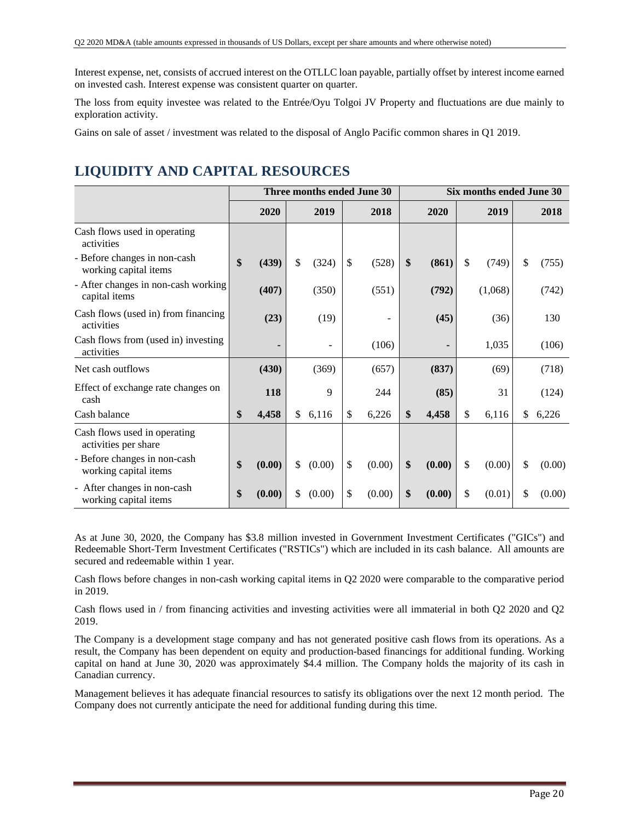Interest expense, net, consists of accrued interest on the OTLLC loan payable, partially offset by interest income earned on invested cash. Interest expense was consistent quarter on quarter.

The loss from equity investee was related to the Entrée/Oyu Tolgoi JV Property and fluctuations are due mainly to exploration activity.

Gains on sale of asset / investment was related to the disposal of Anglo Pacific common shares in Q1 2019.

# **LIQUIDITY AND CAPITAL RESOURCES**

|                                                       |              | Three months ended June 30 |              | Six months ended June 30 |        |    |         |    |        |
|-------------------------------------------------------|--------------|----------------------------|--------------|--------------------------|--------|----|---------|----|--------|
|                                                       | 2020         | 2019                       | 2018         |                          | 2020   |    | 2019    |    | 2018   |
| Cash flows used in operating<br>activities            |              |                            |              |                          |        |    |         |    |        |
| - Before changes in non-cash<br>working capital items | \$<br>(439)  | \$<br>(324)                | \$<br>(528)  | \$                       | (861)  | \$ | (749)   | \$ | (755)  |
| - After changes in non-cash working<br>capital items  | (407)        | (350)                      | (551)        |                          | (792)  |    | (1,068) |    | (742)  |
| Cash flows (used in) from financing<br>activities     | (23)         | (19)                       |              |                          | (45)   |    | (36)    |    | 130    |
| Cash flows from (used in) investing<br>activities     |              |                            | (106)        |                          | ٠      |    | 1,035   |    | (106)  |
| Net cash outflows                                     | (430)        | (369)                      | (657)        |                          | (837)  |    | (69)    |    | (718)  |
| Effect of exchange rate changes on<br>cash            | 118          | 9                          | 244          |                          | (85)   |    | 31      |    | (124)  |
| Cash balance                                          | \$<br>4,458  | \$<br>6,116                | \$<br>6,226  | \$                       | 4,458  | \$ | 6,116   | \$ | 6,226  |
| Cash flows used in operating<br>activities per share  |              |                            |              |                          |        |    |         |    |        |
| - Before changes in non-cash<br>working capital items | \$<br>(0.00) | \$<br>(0.00)               | \$<br>(0.00) | \$                       | (0.00) | \$ | (0.00)  | \$ | (0.00) |
| - After changes in non-cash<br>working capital items  | \$<br>(0.00) | \$<br>(0.00)               | \$<br>(0.00) | \$                       | (0.00) | \$ | (0.01)  | \$ | (0.00) |

As at June 30, 2020, the Company has \$3.8 million invested in Government Investment Certificates ("GICs") and Redeemable Short-Term Investment Certificates ("RSTICs") which are included in its cash balance. All amounts are secured and redeemable within 1 year.

Cash flows before changes in non-cash working capital items in Q2 2020 were comparable to the comparative period in 2019.

Cash flows used in / from financing activities and investing activities were all immaterial in both Q2 2020 and Q2 2019.

The Company is a development stage company and has not generated positive cash flows from its operations. As a result, the Company has been dependent on equity and production-based financings for additional funding. Working capital on hand at June 30, 2020 was approximately \$4.4 million. The Company holds the majority of its cash in Canadian currency.

Management believes it has adequate financial resources to satisfy its obligations over the next 12 month period. The Company does not currently anticipate the need for additional funding during this time.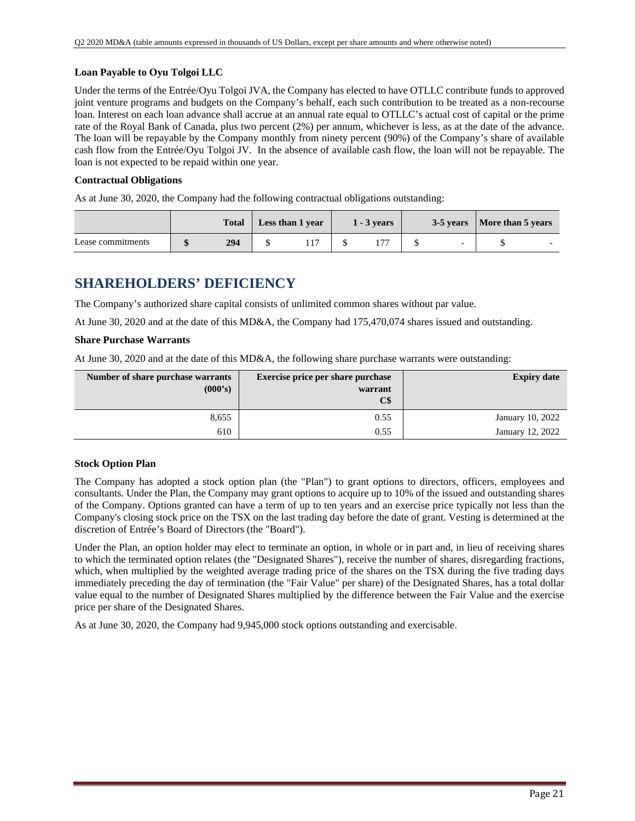### **Loan Payable to Oyu Tolgoi LLC**

Under the terms of the Entrée/Oyu Tolgoi JVA, the Company has elected to have OTLLC contribute funds to approved joint venture programs and budgets on the Company's behalf, each such contribution to be treated as a non-recourse loan. Interest on each loan advance shall accrue at an annual rate equal to OTLLC's actual cost of capital or the prime rate of the Royal Bank of Canada, plus two percent (2%) per annum, whichever is less, as at the date of the advance. The loan will be repayable by the Company monthly from ninety percent (90%) of the Company's share of available cash flow from the Entrée/Oyu Tolgoi JV. In the absence of available cash flow, the loan will not be repayable. The loan is not expected to be repaid within one year.

### **Contractual Obligations**

As at June 30, 2020, the Company had the following contractual obligations outstanding:

|                   | <b>Total</b> | Less than 1 year | $1 - 3$ years |                          | 3-5 years   More than 5 years |  |
|-------------------|--------------|------------------|---------------|--------------------------|-------------------------------|--|
| Lease commitments | 294          |                  |               | $\overline{\phantom{0}}$ |                               |  |

## **SHAREHOLDERS' DEFICIENCY**

The Company's authorized share capital consists of unlimited common shares without par value.

At June 30, 2020 and at the date of this MD&A, the Company had 175,470,074 shares issued and outstanding.

### **Share Purchase Warrants**

At June 30, 2020 and at the date of this MD&A, the following share purchase warrants were outstanding:

| Number of share purchase warrants<br>(000's) | <b>Exercise price per share purchase</b><br>warrant<br>$\mathbf{C}\mathbf{\$}$ | <b>Expiry date</b> |
|----------------------------------------------|--------------------------------------------------------------------------------|--------------------|
| 8,655                                        | 0.55                                                                           | January 10, 2022   |
| 610                                          | 0.55                                                                           | January 12, 2022   |

### **Stock Option Plan**

The Company has adopted a stock option plan (the "Plan") to grant options to directors, officers, employees and consultants. Under the Plan, the Company may grant options to acquire up to 10% of the issued and outstanding shares of the Company. Options granted can have a term of up to ten years and an exercise price typically not less than the Company's closing stock price on the TSX on the last trading day before the date of grant. Vesting is determined at the discretion of Entrée's Board of Directors (the "Board").

Under the Plan, an option holder may elect to terminate an option, in whole or in part and, in lieu of receiving shares to which the terminated option relates (the "Designated Shares"), receive the number of shares, disregarding fractions, which, when multiplied by the weighted average trading price of the shares on the TSX during the five trading days immediately preceding the day of termination (the "Fair Value" per share) of the Designated Shares, has a total dollar value equal to the number of Designated Shares multiplied by the difference between the Fair Value and the exercise price per share of the Designated Shares.

As at June 30, 2020, the Company had 9,945,000 stock options outstanding and exercisable.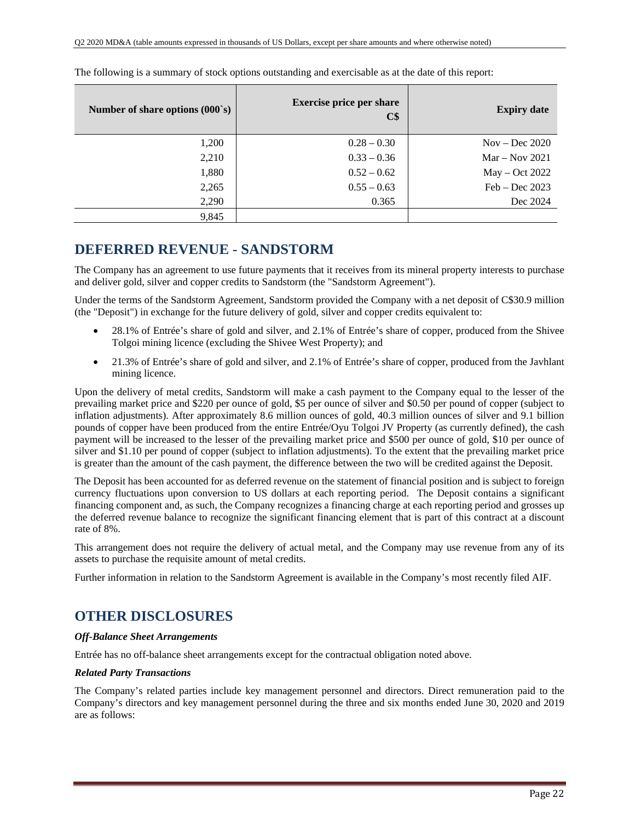| Number of share options $(000 \text{ s})$ | <b>Exercise price per share</b><br>C\$ | <b>Expiry date</b> |
|-------------------------------------------|----------------------------------------|--------------------|
| 1,200                                     | $0.28 - 0.30$                          | $Nov - Dec 2020$   |
| 2,210                                     | $0.33 - 0.36$                          | $Mar - Nov 2021$   |
| 1,880                                     | $0.52 - 0.62$                          | $May - Oct 2022$   |
| 2,265                                     | $0.55 - 0.63$                          | $Feb - Dec 2023$   |
| 2,290                                     | 0.365                                  | Dec 2024           |
| 9,845                                     |                                        |                    |

The following is a summary of stock options outstanding and exercisable as at the date of this report:

## **DEFERRED REVENUE - SANDSTORM**

The Company has an agreement to use future payments that it receives from its mineral property interests to purchase and deliver gold, silver and copper credits to Sandstorm (the "Sandstorm Agreement").

Under the terms of the Sandstorm Agreement, Sandstorm provided the Company with a net deposit of C\$30.9 million (the "Deposit") in exchange for the future delivery of gold, silver and copper credits equivalent to:

- 28.1% of Entrée's share of gold and silver, and 2.1% of Entrée's share of copper, produced from the Shivee Tolgoi mining licence (excluding the Shivee West Property); and
- 21.3% of Entrée's share of gold and silver, and 2.1% of Entrée's share of copper, produced from the Javhlant mining licence.

Upon the delivery of metal credits, Sandstorm will make a cash payment to the Company equal to the lesser of the prevailing market price and \$220 per ounce of gold, \$5 per ounce of silver and \$0.50 per pound of copper (subject to inflation adjustments). After approximately 8.6 million ounces of gold, 40.3 million ounces of silver and 9.1 billion pounds of copper have been produced from the entire Entrée/Oyu Tolgoi JV Property (as currently defined), the cash payment will be increased to the lesser of the prevailing market price and \$500 per ounce of gold, \$10 per ounce of silver and \$1.10 per pound of copper (subject to inflation adjustments). To the extent that the prevailing market price is greater than the amount of the cash payment, the difference between the two will be credited against the Deposit.

The Deposit has been accounted for as deferred revenue on the statement of financial position and is subject to foreign currency fluctuations upon conversion to US dollars at each reporting period. The Deposit contains a significant financing component and, as such, the Company recognizes a financing charge at each reporting period and grosses up the deferred revenue balance to recognize the significant financing element that is part of this contract at a discount rate of 8%.

This arrangement does not require the delivery of actual metal, and the Company may use revenue from any of its assets to purchase the requisite amount of metal credits.

Further information in relation to the Sandstorm Agreement is available in the Company's most recently filed AIF.

## **OTHER DISCLOSURES**

### *Off-Balance Sheet Arrangements*

Entrée has no off-balance sheet arrangements except for the contractual obligation noted above.

### *Related Party Transactions*

The Company's related parties include key management personnel and directors. Direct remuneration paid to the Company's directors and key management personnel during the three and six months ended June 30, 2020 and 2019 are as follows: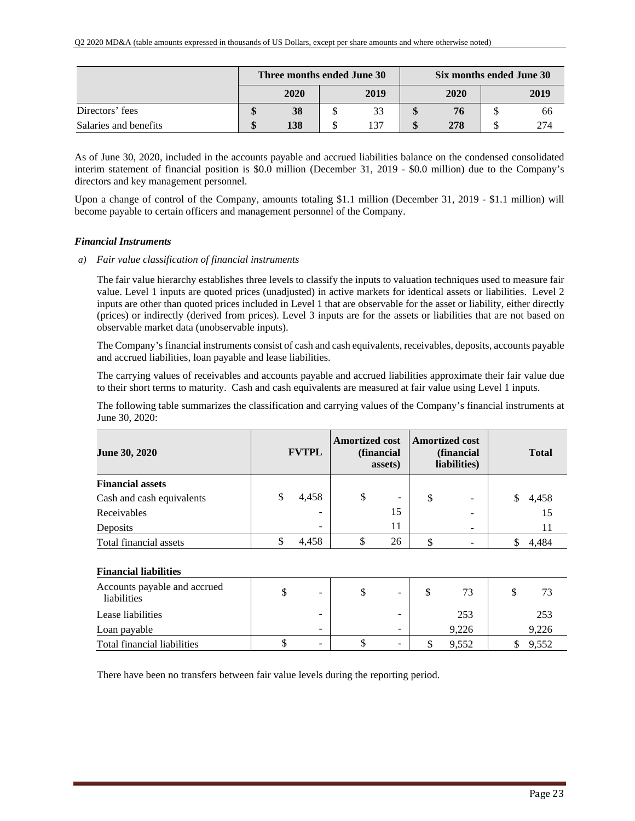|                       |         | Three months ended June 30 |      | Six months ended June 30 |  |      |  |  |
|-----------------------|---------|----------------------------|------|--------------------------|--|------|--|--|
|                       |         | 2020                       | 2019 | 2020                     |  | 2019 |  |  |
| Directors' fees       | ₼<br>۱D | 38                         | 33   | 76                       |  | 66   |  |  |
| Salaries and benefits | ¢       | 138                        | 137  | 278                      |  | 274  |  |  |

As of June 30, 2020, included in the accounts payable and accrued liabilities balance on the condensed consolidated interim statement of financial position is \$0.0 million (December 31, 2019 - \$0.0 million) due to the Company's directors and key management personnel.

Upon a change of control of the Company, amounts totaling \$1.1 million (December 31, 2019 - \$1.1 million) will become payable to certain officers and management personnel of the Company.

### *Financial Instruments*

*a) Fair value classification of financial instruments* 

The fair value hierarchy establishes three levels to classify the inputs to valuation techniques used to measure fair value. Level 1 inputs are quoted prices (unadjusted) in active markets for identical assets or liabilities. Level 2 inputs are other than quoted prices included in Level 1 that are observable for the asset or liability, either directly (prices) or indirectly (derived from prices). Level 3 inputs are for the assets or liabilities that are not based on observable market data (unobservable inputs).

The Company's financial instruments consist of cash and cash equivalents, receivables, deposits, accounts payable and accrued liabilities, loan payable and lease liabilities.

The carrying values of receivables and accounts payable and accrued liabilities approximate their fair value due to their short terms to maturity. Cash and cash equivalents are measured at fair value using Level 1 inputs.

The following table summarizes the classification and carrying values of the Company's financial instruments at June 30, 2020:

| June 30, 2020             | <b>FVTPL</b> | <b>Amortized cost</b> | (financial<br>assets) | <b>Amortized cost</b> | (financial<br>liabilities) | <b>Total</b> |       |  |
|---------------------------|--------------|-----------------------|-----------------------|-----------------------|----------------------------|--------------|-------|--|
| <b>Financial assets</b>   |              |                       |                       |                       |                            |              |       |  |
| Cash and cash equivalents | 4,458        | \$                    | -                     | \$                    | -                          |              | 4,458 |  |
| Receivables               |              |                       | 15                    |                       | -                          |              | 15    |  |
| Deposits                  |              |                       | 11                    |                       |                            |              | 11    |  |
| Total financial assets    | 4,458        | S                     | 26                    |                       |                            |              | 4.484 |  |

#### **Financial liabilities**

| Accounts payable and accrued<br>liabilities | $\overline{\phantom{0}}$ | ۰D | $\overline{\phantom{0}}$ |       | 73    |
|---------------------------------------------|--------------------------|----|--------------------------|-------|-------|
| Lease liabilities                           | $\overline{\phantom{0}}$ |    | $\blacksquare$           | 253   | 253   |
| Loan payable                                | -                        |    | -                        | 9.226 | 9,226 |
| Total financial liabilities                 | $\overline{\phantom{0}}$ |    | $\overline{\phantom{0}}$ | 9.552 | 9.552 |

There have been no transfers between fair value levels during the reporting period.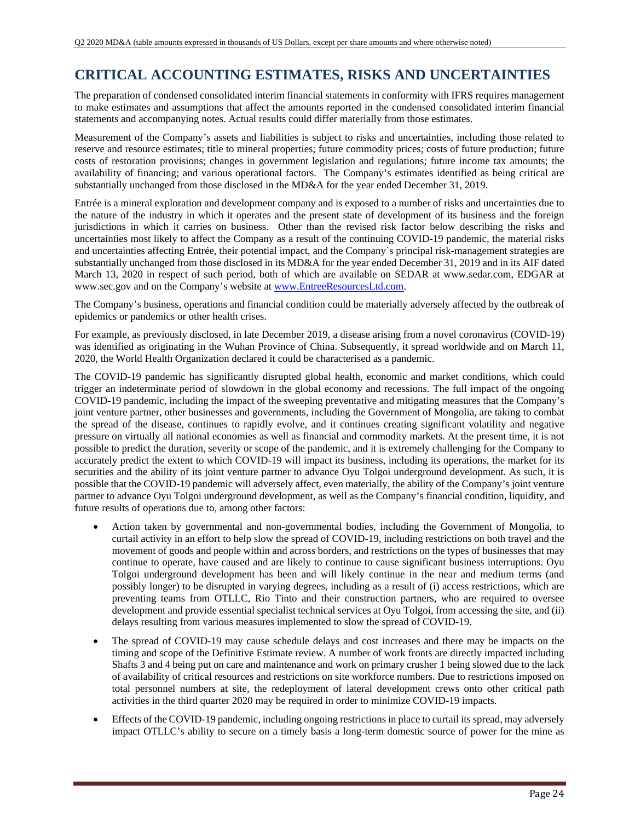## **CRITICAL ACCOUNTING ESTIMATES, RISKS AND UNCERTAINTIES**

The preparation of condensed consolidated interim financial statements in conformity with IFRS requires management to make estimates and assumptions that affect the amounts reported in the condensed consolidated interim financial statements and accompanying notes. Actual results could differ materially from those estimates.

Measurement of the Company's assets and liabilities is subject to risks and uncertainties, including those related to reserve and resource estimates; title to mineral properties; future commodity prices; costs of future production; future costs of restoration provisions; changes in government legislation and regulations; future income tax amounts; the availability of financing; and various operational factors. The Company's estimates identified as being critical are substantially unchanged from those disclosed in the MD&A for the year ended December 31, 2019.

Entrée is a mineral exploration and development company and is exposed to a number of risks and uncertainties due to the nature of the industry in which it operates and the present state of development of its business and the foreign jurisdictions in which it carries on business. Other than the revised risk factor below describing the risks and uncertainties most likely to affect the Company as a result of the continuing COVID-19 pandemic, the material risks and uncertainties affecting Entrée, their potential impact, and the Company`s principal risk-management strategies are substantially unchanged from those disclosed in its MD&A for the year ended December 31, 2019 and in its AIF dated March 13, 2020 in respect of such period, both of which are available on SEDAR at www.sedar.com, EDGAR at www.sec.gov and on the Company's website at www.EntreeResourcesLtd.com.

The Company's business, operations and financial condition could be materially adversely affected by the outbreak of epidemics or pandemics or other health crises.

For example, as previously disclosed, in late December 2019, a disease arising from a novel coronavirus (COVID-19) was identified as originating in the Wuhan Province of China. Subsequently, it spread worldwide and on March 11, 2020, the World Health Organization declared it could be characterised as a pandemic.

The COVID-19 pandemic has significantly disrupted global health, economic and market conditions, which could trigger an indeterminate period of slowdown in the global economy and recessions. The full impact of the ongoing COVID-19 pandemic, including the impact of the sweeping preventative and mitigating measures that the Company's joint venture partner, other businesses and governments, including the Government of Mongolia, are taking to combat the spread of the disease, continues to rapidly evolve, and it continues creating significant volatility and negative pressure on virtually all national economies as well as financial and commodity markets. At the present time, it is not possible to predict the duration, severity or scope of the pandemic, and it is extremely challenging for the Company to accurately predict the extent to which COVID-19 will impact its business, including its operations, the market for its securities and the ability of its joint venture partner to advance Oyu Tolgoi underground development. As such, it is possible that the COVID-19 pandemic will adversely affect, even materially, the ability of the Company's joint venture partner to advance Oyu Tolgoi underground development, as well as the Company's financial condition, liquidity, and future results of operations due to, among other factors:

- Action taken by governmental and non-governmental bodies, including the Government of Mongolia, to curtail activity in an effort to help slow the spread of COVID-19, including restrictions on both travel and the movement of goods and people within and across borders, and restrictions on the types of businesses that may continue to operate, have caused and are likely to continue to cause significant business interruptions. Oyu Tolgoi underground development has been and will likely continue in the near and medium terms (and possibly longer) to be disrupted in varying degrees, including as a result of (i) access restrictions, which are preventing teams from OTLLC, Rio Tinto and their construction partners, who are required to oversee development and provide essential specialist technical services at Oyu Tolgoi, from accessing the site, and (ii) delays resulting from various measures implemented to slow the spread of COVID-19.
- The spread of COVID-19 may cause schedule delays and cost increases and there may be impacts on the timing and scope of the Definitive Estimate review. A number of work fronts are directly impacted including Shafts 3 and 4 being put on care and maintenance and work on primary crusher 1 being slowed due to the lack of availability of critical resources and restrictions on site workforce numbers. Due to restrictions imposed on total personnel numbers at site, the redeployment of lateral development crews onto other critical path activities in the third quarter 2020 may be required in order to minimize COVID-19 impacts.
- Effects of the COVID-19 pandemic, including ongoing restrictions in place to curtail its spread, may adversely impact OTLLC's ability to secure on a timely basis a long-term domestic source of power for the mine as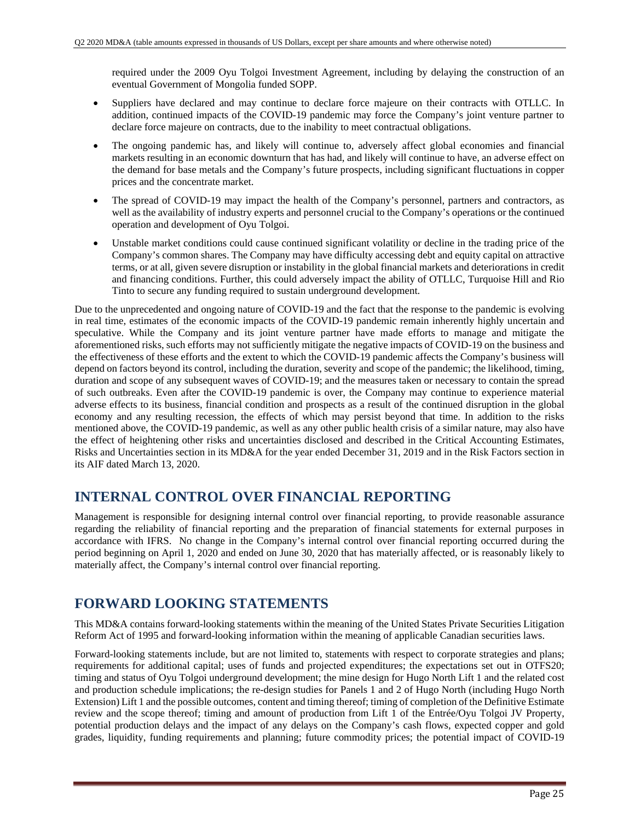required under the 2009 Oyu Tolgoi Investment Agreement, including by delaying the construction of an eventual Government of Mongolia funded SOPP.

- Suppliers have declared and may continue to declare force majeure on their contracts with OTLLC. In addition, continued impacts of the COVID-19 pandemic may force the Company's joint venture partner to declare force majeure on contracts, due to the inability to meet contractual obligations.
- The ongoing pandemic has, and likely will continue to, adversely affect global economies and financial markets resulting in an economic downturn that has had, and likely will continue to have, an adverse effect on the demand for base metals and the Company's future prospects, including significant fluctuations in copper prices and the concentrate market.
- The spread of COVID-19 may impact the health of the Company's personnel, partners and contractors, as well as the availability of industry experts and personnel crucial to the Company's operations or the continued operation and development of Oyu Tolgoi.
- Unstable market conditions could cause continued significant volatility or decline in the trading price of the Company's common shares. The Company may have difficulty accessing debt and equity capital on attractive terms, or at all, given severe disruption or instability in the global financial markets and deteriorations in credit and financing conditions. Further, this could adversely impact the ability of OTLLC, Turquoise Hill and Rio Tinto to secure any funding required to sustain underground development.

Due to the unprecedented and ongoing nature of COVID-19 and the fact that the response to the pandemic is evolving in real time, estimates of the economic impacts of the COVID-19 pandemic remain inherently highly uncertain and speculative. While the Company and its joint venture partner have made efforts to manage and mitigate the aforementioned risks, such efforts may not sufficiently mitigate the negative impacts of COVID-19 on the business and the effectiveness of these efforts and the extent to which the COVID-19 pandemic affects the Company's business will depend on factors beyond its control, including the duration, severity and scope of the pandemic; the likelihood, timing, duration and scope of any subsequent waves of COVID-19; and the measures taken or necessary to contain the spread of such outbreaks. Even after the COVID-19 pandemic is over, the Company may continue to experience material adverse effects to its business, financial condition and prospects as a result of the continued disruption in the global economy and any resulting recession, the effects of which may persist beyond that time. In addition to the risks mentioned above, the COVID-19 pandemic, as well as any other public health crisis of a similar nature, may also have the effect of heightening other risks and uncertainties disclosed and described in the Critical Accounting Estimates, Risks and Uncertainties section in its MD&A for the year ended December 31, 2019 and in the Risk Factors section in its AIF dated March 13, 2020.

## **INTERNAL CONTROL OVER FINANCIAL REPORTING**

Management is responsible for designing internal control over financial reporting, to provide reasonable assurance regarding the reliability of financial reporting and the preparation of financial statements for external purposes in accordance with IFRS. No change in the Company's internal control over financial reporting occurred during the period beginning on April 1, 2020 and ended on June 30, 2020 that has materially affected, or is reasonably likely to materially affect, the Company's internal control over financial reporting.

## **FORWARD LOOKING STATEMENTS**

This MD&A contains forward-looking statements within the meaning of the United States Private Securities Litigation Reform Act of 1995 and forward-looking information within the meaning of applicable Canadian securities laws.

Forward-looking statements include, but are not limited to, statements with respect to corporate strategies and plans; requirements for additional capital; uses of funds and projected expenditures; the expectations set out in OTFS20; timing and status of Oyu Tolgoi underground development; the mine design for Hugo North Lift 1 and the related cost and production schedule implications; the re-design studies for Panels 1 and 2 of Hugo North (including Hugo North Extension) Lift 1 and the possible outcomes, content and timing thereof; timing of completion of the Definitive Estimate review and the scope thereof; timing and amount of production from Lift 1 of the Entrée/Oyu Tolgoi JV Property, potential production delays and the impact of any delays on the Company's cash flows, expected copper and gold grades, liquidity, funding requirements and planning; future commodity prices; the potential impact of COVID-19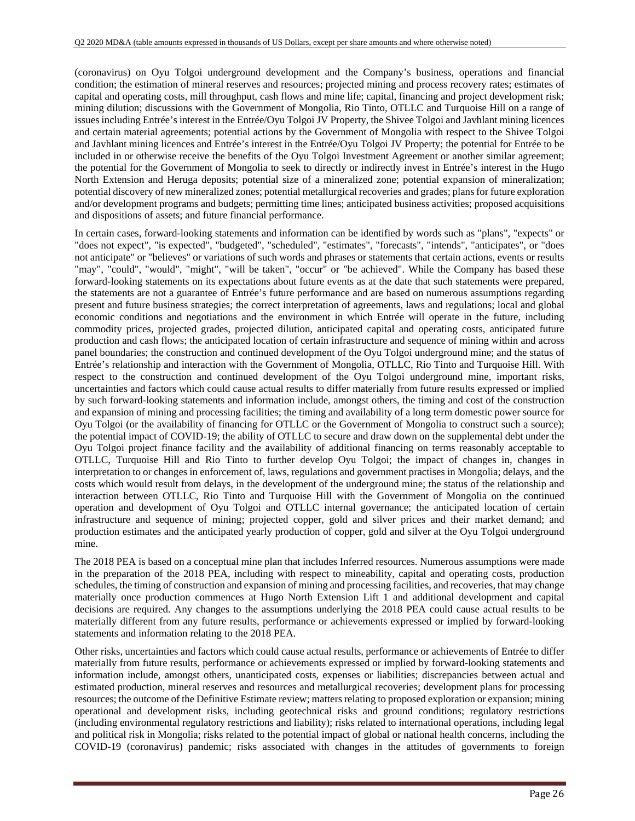(coronavirus) on Oyu Tolgoi underground development and the Company's business, operations and financial condition; the estimation of mineral reserves and resources; projected mining and process recovery rates; estimates of capital and operating costs, mill throughput, cash flows and mine life; capital, financing and project development risk; mining dilution; discussions with the Government of Mongolia, Rio Tinto, OTLLC and Turquoise Hill on a range of issues including Entrée's interest in the Entrée/Oyu Tolgoi JV Property, the Shivee Tolgoi and Javhlant mining licences and certain material agreements; potential actions by the Government of Mongolia with respect to the Shivee Tolgoi and Javhlant mining licences and Entrée's interest in the Entrée/Oyu Tolgoi JV Property; the potential for Entrée to be included in or otherwise receive the benefits of the Oyu Tolgoi Investment Agreement or another similar agreement; the potential for the Government of Mongolia to seek to directly or indirectly invest in Entrée's interest in the Hugo North Extension and Heruga deposits; potential size of a mineralized zone; potential expansion of mineralization; potential discovery of new mineralized zones; potential metallurgical recoveries and grades; plans for future exploration and/or development programs and budgets; permitting time lines; anticipated business activities; proposed acquisitions and dispositions of assets; and future financial performance.

In certain cases, forward-looking statements and information can be identified by words such as "plans", "expects" or "does not expect", "is expected", "budgeted", "scheduled", "estimates", "forecasts", "intends", "anticipates", or "does not anticipate" or "believes" or variations of such words and phrases or statements that certain actions, events or results "may", "could", "would", "might", "will be taken", "occur" or "be achieved". While the Company has based these forward-looking statements on its expectations about future events as at the date that such statements were prepared, the statements are not a guarantee of Entrée's future performance and are based on numerous assumptions regarding present and future business strategies; the correct interpretation of agreements, laws and regulations; local and global economic conditions and negotiations and the environment in which Entrée will operate in the future, including commodity prices, projected grades, projected dilution, anticipated capital and operating costs, anticipated future production and cash flows; the anticipated location of certain infrastructure and sequence of mining within and across panel boundaries; the construction and continued development of the Oyu Tolgoi underground mine; and the status of Entrée's relationship and interaction with the Government of Mongolia, OTLLC, Rio Tinto and Turquoise Hill. With respect to the construction and continued development of the Oyu Tolgoi underground mine, important risks, uncertainties and factors which could cause actual results to differ materially from future results expressed or implied by such forward-looking statements and information include, amongst others, the timing and cost of the construction and expansion of mining and processing facilities; the timing and availability of a long term domestic power source for Oyu Tolgoi (or the availability of financing for OTLLC or the Government of Mongolia to construct such a source); the potential impact of COVID-19; the ability of OTLLC to secure and draw down on the supplemental debt under the Oyu Tolgoi project finance facility and the availability of additional financing on terms reasonably acceptable to OTLLC, Turquoise Hill and Rio Tinto to further develop Oyu Tolgoi; the impact of changes in, changes in interpretation to or changes in enforcement of, laws, regulations and government practises in Mongolia; delays, and the costs which would result from delays, in the development of the underground mine; the status of the relationship and interaction between OTLLC, Rio Tinto and Turquoise Hill with the Government of Mongolia on the continued operation and development of Oyu Tolgoi and OTLLC internal governance; the anticipated location of certain infrastructure and sequence of mining; projected copper, gold and silver prices and their market demand; and production estimates and the anticipated yearly production of copper, gold and silver at the Oyu Tolgoi underground mine.

The 2018 PEA is based on a conceptual mine plan that includes Inferred resources. Numerous assumptions were made in the preparation of the 2018 PEA, including with respect to mineability, capital and operating costs, production schedules, the timing of construction and expansion of mining and processing facilities, and recoveries, that may change materially once production commences at Hugo North Extension Lift 1 and additional development and capital decisions are required. Any changes to the assumptions underlying the 2018 PEA could cause actual results to be materially different from any future results, performance or achievements expressed or implied by forward-looking statements and information relating to the 2018 PEA.

Other risks, uncertainties and factors which could cause actual results, performance or achievements of Entrée to differ materially from future results, performance or achievements expressed or implied by forward-looking statements and information include, amongst others, unanticipated costs, expenses or liabilities; discrepancies between actual and estimated production, mineral reserves and resources and metallurgical recoveries; development plans for processing resources; the outcome of the Definitive Estimate review; matters relating to proposed exploration or expansion; mining operational and development risks, including geotechnical risks and ground conditions; regulatory restrictions (including environmental regulatory restrictions and liability); risks related to international operations, including legal and political risk in Mongolia; risks related to the potential impact of global or national health concerns, including the COVID-19 (coronavirus) pandemic; risks associated with changes in the attitudes of governments to foreign